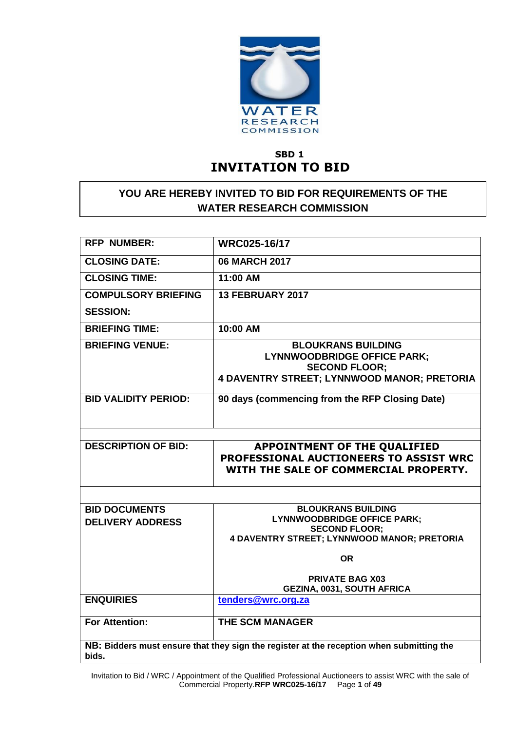

# **SBD 1 INVITATION TO BID**

# **YOU ARE HEREBY INVITED TO BID FOR REQUIREMENTS OF THE WATER RESEARCH COMMISSION**

| <b>RFP NUMBER:</b>                                                                                | <b>WRC025-16/17</b>                                                                                                                    |  |  |  |
|---------------------------------------------------------------------------------------------------|----------------------------------------------------------------------------------------------------------------------------------------|--|--|--|
| <b>CLOSING DATE:</b>                                                                              | <b>06 MARCH 2017</b>                                                                                                                   |  |  |  |
| <b>CLOSING TIME:</b>                                                                              | 11:00 AM                                                                                                                               |  |  |  |
| <b>COMPULSORY BRIEFING</b>                                                                        | 13 FEBRUARY 2017                                                                                                                       |  |  |  |
| <b>SESSION:</b>                                                                                   |                                                                                                                                        |  |  |  |
| <b>BRIEFING TIME:</b>                                                                             | 10:00 AM                                                                                                                               |  |  |  |
| <b>BRIEFING VENUE:</b>                                                                            | <b>BLOUKRANS BUILDING</b><br><b>LYNNWOODBRIDGE OFFICE PARK;</b><br><b>SECOND FLOOR:</b><br>4 DAVENTRY STREET; LYNNWOOD MANOR; PRETORIA |  |  |  |
| <b>BID VALIDITY PERIOD:</b>                                                                       | 90 days (commencing from the RFP Closing Date)                                                                                         |  |  |  |
|                                                                                                   |                                                                                                                                        |  |  |  |
| <b>DESCRIPTION OF BID:</b>                                                                        | <b>APPOINTMENT OF THE QUALIFIED</b><br>PROFESSIONAL AUCTIONEERS TO ASSIST WRC<br>WITH THE SALE OF COMMERCIAL PROPERTY.                 |  |  |  |
|                                                                                                   |                                                                                                                                        |  |  |  |
| <b>BID DOCUMENTS</b>                                                                              | <b>BLOUKRANS BUILDING</b>                                                                                                              |  |  |  |
| <b>DELIVERY ADDRESS</b>                                                                           | <b>LYNNWOODBRIDGE OFFICE PARK;</b>                                                                                                     |  |  |  |
|                                                                                                   | <b>SECOND FLOOR:</b><br>4 DAVENTRY STREET; LYNNWOOD MANOR; PRETORIA                                                                    |  |  |  |
|                                                                                                   |                                                                                                                                        |  |  |  |
|                                                                                                   | <b>OR</b>                                                                                                                              |  |  |  |
|                                                                                                   | <b>PRIVATE BAG X03</b>                                                                                                                 |  |  |  |
|                                                                                                   | <b>GEZINA, 0031, SOUTH AFRICA</b>                                                                                                      |  |  |  |
| <b>ENQUIRIES</b>                                                                                  | tenders@wrc.org.za                                                                                                                     |  |  |  |
| <b>For Attention:</b>                                                                             | <b>THE SCM MANAGER</b>                                                                                                                 |  |  |  |
| NB: Bidders must ensure that they sign the register at the reception when submitting the<br>bids. |                                                                                                                                        |  |  |  |

Invitation to Bid / WRC / Appointment of the Qualified Professional Auctioneers to assist WRC with the sale of Commercial Property.**RFP WRC025-16/17** Page **1** of **49**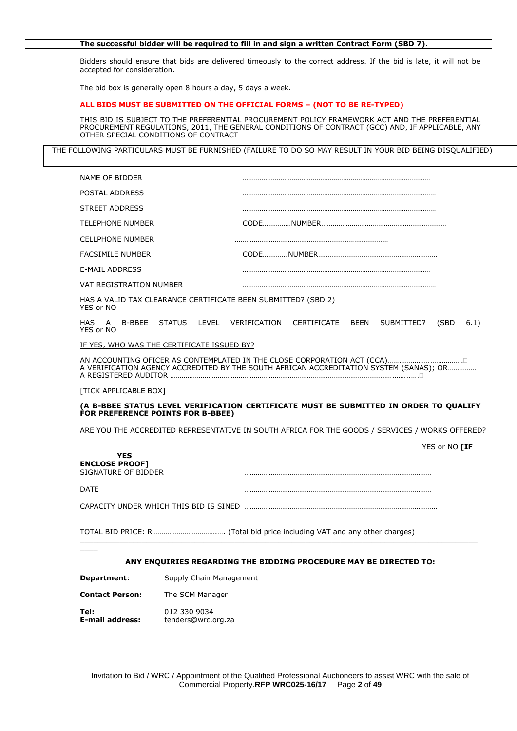#### **The successful bidder will be required to fill in and sign a written Contract Form (SBD 7).**

Bidders should ensure that bids are delivered timeously to the correct address. If the bid is late, it will not be accepted for consideration.

The bid box is generally open 8 hours a day, 5 days a week.

#### **ALL BIDS MUST BE SUBMITTED ON THE OFFICIAL FORMS – (NOT TO BE RE-TYPED)**

THIS BID IS SUBJECT TO THE PREFERENTIAL PROCUREMENT POLICY FRAMEWORK ACT AND THE PREFERENTIAL PROCUREMENT REGULATIONS, 2011, THE GENERAL CONDITIONS OF CONTRACT (GCC) AND, IF APPLICABLE, ANY OTHER SPECIAL CONDITIONS OF CONTRACT

THE FOLLOWING PARTICULARS MUST BE FURNISHED (FAILURE TO DO SO MAY RESULT IN YOUR BID BEING DISQUALIFIED)

| NAME OF BIDDER                                                                                                             |                                                                   |                               |            |               |      |
|----------------------------------------------------------------------------------------------------------------------------|-------------------------------------------------------------------|-------------------------------|------------|---------------|------|
| POSTAL ADDRESS                                                                                                             |                                                                   |                               |            |               |      |
| STREET ADDRESS                                                                                                             |                                                                   |                               |            |               |      |
| <b>TELEPHONE NUMBER</b>                                                                                                    |                                                                   |                               |            |               |      |
| <b>CELLPHONE NUMBER</b>                                                                                                    |                                                                   |                               |            |               |      |
| <b>FACSIMILE NUMBER</b>                                                                                                    |                                                                   |                               |            |               |      |
| <b>E-MAIL ADDRESS</b>                                                                                                      |                                                                   |                               |            |               |      |
| VAT REGISTRATION NUMBER                                                                                                    |                                                                   |                               |            |               |      |
| HAS A VALID TAX CLEARANCE CERTIFICATE BEEN SUBMITTED? (SBD 2)<br>YES or NO                                                 |                                                                   |                               |            |               |      |
| HAS<br>A<br>YES or NO                                                                                                      | B-BBEE STATUS LEVEL                                               | VERIFICATION CERTIFICATE BEEN | SUBMITTED? | (SBD)         | 6.1) |
| IF YES, WHO WAS THE CERTIFICATE ISSUED BY?                                                                                 |                                                                   |                               |            |               |      |
| A VERIFICATION AGENCY ACCREDITED BY THE SOUTH AFRICAN ACCREDITATION SYSTEM (SANAS); OR                                     |                                                                   |                               |            |               |      |
| <b>TICK APPLICABLE BOXT</b>                                                                                                |                                                                   |                               |            |               |      |
| (A B-BBEE STATUS LEVEL VERIFICATION CERTIFICATE MUST BE SUBMITTED IN ORDER TO QUALIFY<br>FOR PREFERENCE POINTS FOR B-BBEE) |                                                                   |                               |            |               |      |
| ARE YOU THE ACCREDITED REPRESENTATIVE IN SOUTH AFRICA FOR THE GOODS / SERVICES / WORKS OFFERED?                            |                                                                   |                               |            |               |      |
| <b>YES</b><br><b>ENCLOSE PROOF]</b><br>SIGNATURE OF BIDDER                                                                 |                                                                   |                               |            | YES or NO [IF |      |
| <b>DATE</b>                                                                                                                |                                                                   |                               |            |               |      |
|                                                                                                                            |                                                                   |                               |            |               |      |
|                                                                                                                            |                                                                   |                               |            |               |      |
|                                                                                                                            | ANY ENQUIRIES REGARDING THE BIDDING PROCEDURE MAY BE DIRECTED TO: |                               |            |               |      |
| Department:                                                                                                                | Supply Chain Management                                           |                               |            |               |      |
| <b>Contact Person:</b>                                                                                                     | The SCM Manager                                                   |                               |            |               |      |

**Tel:** 012 330 9034 **E-mail address:** tenders@wrc.org.za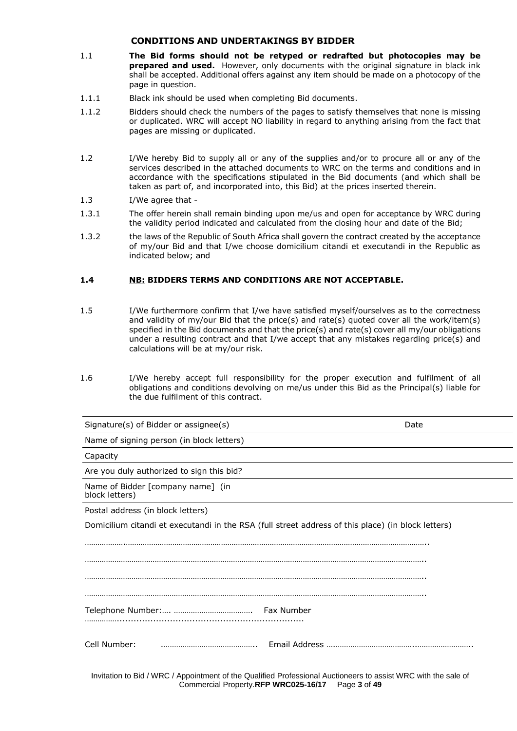### **CONDITIONS AND UNDERTAKINGS BY BIDDER**

- 1.1 **The Bid forms should not be retyped or redrafted but photocopies may be prepared and used.** However, only documents with the original signature in black ink shall be accepted. Additional offers against any item should be made on a photocopy of the page in question.
- 1.1.1 Black ink should be used when completing Bid documents.
- 1.1.2 Bidders should check the numbers of the pages to satisfy themselves that none is missing or duplicated. WRC will accept NO liability in regard to anything arising from the fact that pages are missing or duplicated.
- 1.2 I/We hereby Bid to supply all or any of the supplies and/or to procure all or any of the services described in the attached documents to WRC on the terms and conditions and in accordance with the specifications stipulated in the Bid documents (and which shall be taken as part of, and incorporated into, this Bid) at the prices inserted therein.
- 1.3 I/We agree that -
- 1.3.1 The offer herein shall remain binding upon me/us and open for acceptance by WRC during the validity period indicated and calculated from the closing hour and date of the Bid;
- 1.3.2 the laws of the Republic of South Africa shall govern the contract created by the acceptance of my/our Bid and that I/we choose domicilium citandi et executandi in the Republic as indicated below; and

## **1.4 NB: BIDDERS TERMS AND CONDITIONS ARE NOT ACCEPTABLE.**

- 1.5 I/We furthermore confirm that I/we have satisfied myself/ourselves as to the correctness and validity of my/our Bid that the price(s) and rate(s) quoted cover all the work/item(s) specified in the Bid documents and that the price(s) and rate(s) cover all my/our obligations under a resulting contract and that I/we accept that any mistakes regarding price(s) and calculations will be at my/our risk.
- 1.6 I/We hereby accept full responsibility for the proper execution and fulfilment of all obligations and conditions devolving on me/us under this Bid as the Principal(s) liable for the due fulfilment of this contract.

| Signature(s) of Bidder or assignee(s)                                                              | Date |
|----------------------------------------------------------------------------------------------------|------|
| Name of signing person (in block letters)                                                          |      |
| Capacity                                                                                           |      |
| Are you duly authorized to sign this bid?                                                          |      |
| Name of Bidder [company name] (in<br>block letters)                                                |      |
| Postal address (in block letters)                                                                  |      |
| Domicilium citandi et executandi in the RSA (full street address of this place) (in block letters) |      |
|                                                                                                    |      |
|                                                                                                    |      |
|                                                                                                    |      |
|                                                                                                    |      |
|                                                                                                    |      |
| Cell Number:                                                                                       |      |
|                                                                                                    |      |

Invitation to Bid / WRC / Appointment of the Qualified Professional Auctioneers to assist WRC with the sale of Commercial Property.**RFP WRC025-16/17** Page **3** of **49**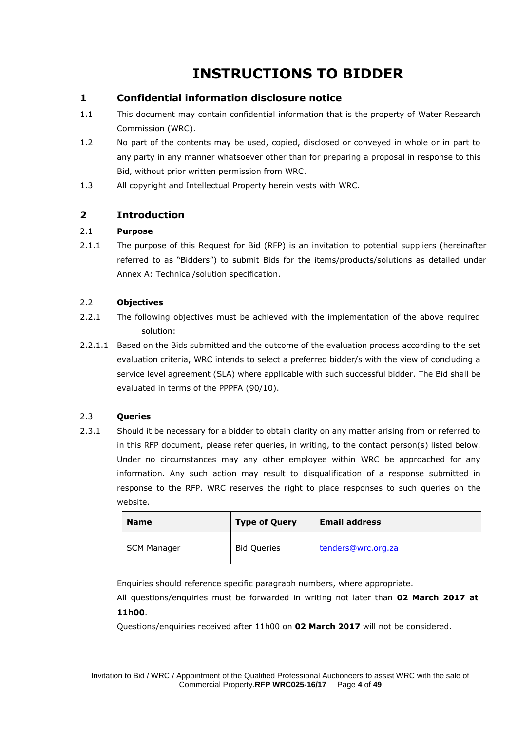# **INSTRUCTIONS TO BIDDER**

# **1 Confidential information disclosure notice**

- 1.1 This document may contain confidential information that is the property of Water Research Commission (WRC).
- 1.2 No part of the contents may be used, copied, disclosed or conveyed in whole or in part to any party in any manner whatsoever other than for preparing a proposal in response to this Bid, without prior written permission from WRC.
- 1.3 All copyright and Intellectual Property herein vests with WRC.

# **2 Introduction**

## 2.1 **Purpose**

2.1.1 The purpose of this Request for Bid (RFP) is an invitation to potential suppliers (hereinafter referred to as "Bidders") to submit Bids for the items/products/solutions as detailed under Annex A: Technical/solution specification.

## 2.2 **Objectives**

- 2.2.1 The following objectives must be achieved with the implementation of the above required solution:
- 2.2.1.1 Based on the Bids submitted and the outcome of the evaluation process according to the set evaluation criteria, WRC intends to select a preferred bidder/s with the view of concluding a service level agreement (SLA) where applicable with such successful bidder. The Bid shall be evaluated in terms of the PPPFA (90/10).

## 2.3 **Queries**

2.3.1 Should it be necessary for a bidder to obtain clarity on any matter arising from or referred to in this RFP document, please refer queries, in writing, to the contact person(s) listed below. Under no circumstances may any other employee within WRC be approached for any information. Any such action may result to disqualification of a response submitted in response to the RFP. WRC reserves the right to place responses to such queries on the website.

| <b>Name</b>        | <b>Type of Query</b> | <b>Email address</b> |
|--------------------|----------------------|----------------------|
| <b>SCM Manager</b> | <b>Bid Queries</b>   | tenders@wrc.org.za   |

Enquiries should reference specific paragraph numbers, where appropriate.

All questions/enquiries must be forwarded in writing not later than **02 March 2017 at 11h00**.

Questions/enquiries received after 11h00 on **02 March 2017** will not be considered.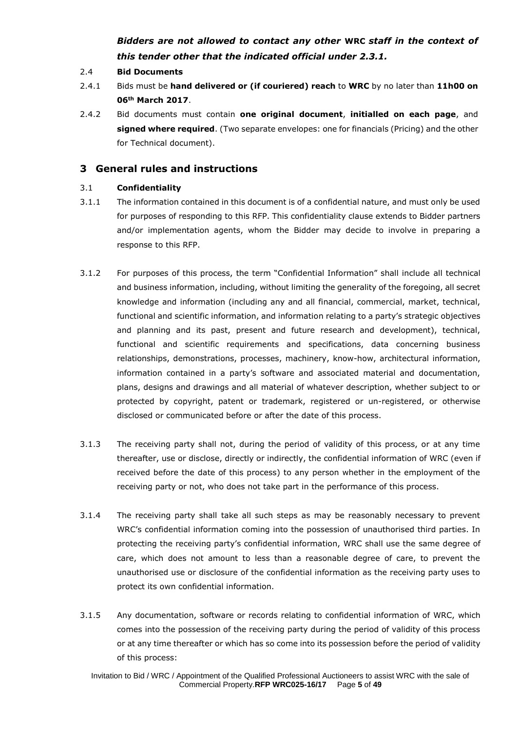# *Bidders are not allowed to contact any other* **WRC** *staff in the context of this tender other that the indicated official under 2.3.1.*

- 2.4 **Bid Documents**
- 2.4.1 Bids must be **hand delivered or (if couriered) reach** to **WRC** by no later than **11h00 on 06th March 2017**.
- 2.4.2 Bid documents must contain **one original document**, **initialled on each page**, and **signed where required**. (Two separate envelopes: one for financials (Pricing) and the other for Technical document).

## **3 General rules and instructions**

## 3.1 **Confidentiality**

- 3.1.1 The information contained in this document is of a confidential nature, and must only be used for purposes of responding to this RFP. This confidentiality clause extends to Bidder partners and/or implementation agents, whom the Bidder may decide to involve in preparing a response to this RFP.
- 3.1.2 For purposes of this process, the term "Confidential Information" shall include all technical and business information, including, without limiting the generality of the foregoing, all secret knowledge and information (including any and all financial, commercial, market, technical, functional and scientific information, and information relating to a party's strategic objectives and planning and its past, present and future research and development), technical, functional and scientific requirements and specifications, data concerning business relationships, demonstrations, processes, machinery, know-how, architectural information, information contained in a party's software and associated material and documentation, plans, designs and drawings and all material of whatever description, whether subject to or protected by copyright, patent or trademark, registered or un-registered, or otherwise disclosed or communicated before or after the date of this process.
- 3.1.3 The receiving party shall not, during the period of validity of this process, or at any time thereafter, use or disclose, directly or indirectly, the confidential information of WRC (even if received before the date of this process) to any person whether in the employment of the receiving party or not, who does not take part in the performance of this process.
- 3.1.4 The receiving party shall take all such steps as may be reasonably necessary to prevent WRC's confidential information coming into the possession of unauthorised third parties. In protecting the receiving party's confidential information, WRC shall use the same degree of care, which does not amount to less than a reasonable degree of care, to prevent the unauthorised use or disclosure of the confidential information as the receiving party uses to protect its own confidential information.
- 3.1.5 Any documentation, software or records relating to confidential information of WRC, which comes into the possession of the receiving party during the period of validity of this process or at any time thereafter or which has so come into its possession before the period of validity of this process: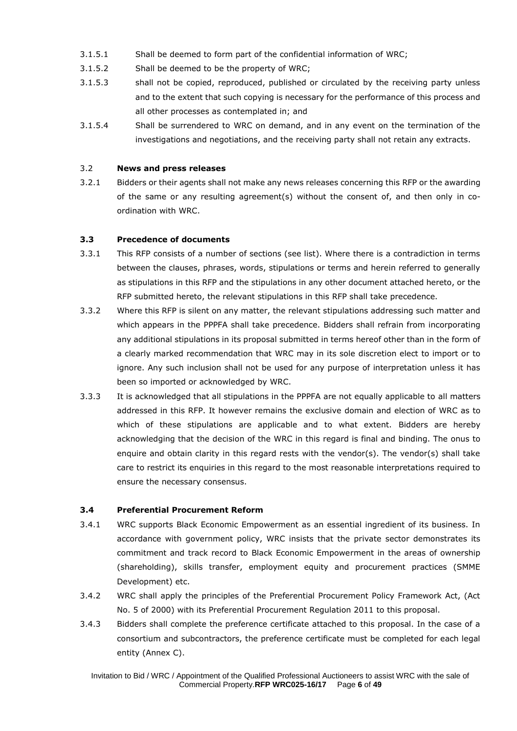- 3.1.5.1 Shall be deemed to form part of the confidential information of WRC;
- 3.1.5.2 Shall be deemed to be the property of WRC;
- 3.1.5.3 shall not be copied, reproduced, published or circulated by the receiving party unless and to the extent that such copying is necessary for the performance of this process and all other processes as contemplated in; and
- 3.1.5.4 Shall be surrendered to WRC on demand, and in any event on the termination of the investigations and negotiations, and the receiving party shall not retain any extracts.

## 3.2 **News and press releases**

3.2.1 Bidders or their agents shall not make any news releases concerning this RFP or the awarding of the same or any resulting agreement(s) without the consent of, and then only in coordination with WRC.

## **3.3 Precedence of documents**

- 3.3.1 This RFP consists of a number of sections (see list). Where there is a contradiction in terms between the clauses, phrases, words, stipulations or terms and herein referred to generally as stipulations in this RFP and the stipulations in any other document attached hereto, or the RFP submitted hereto, the relevant stipulations in this RFP shall take precedence.
- 3.3.2 Where this RFP is silent on any matter, the relevant stipulations addressing such matter and which appears in the PPPFA shall take precedence. Bidders shall refrain from incorporating any additional stipulations in its proposal submitted in terms hereof other than in the form of a clearly marked recommendation that WRC may in its sole discretion elect to import or to ignore. Any such inclusion shall not be used for any purpose of interpretation unless it has been so imported or acknowledged by WRC.
- 3.3.3 It is acknowledged that all stipulations in the PPPFA are not equally applicable to all matters addressed in this RFP. It however remains the exclusive domain and election of WRC as to which of these stipulations are applicable and to what extent. Bidders are hereby acknowledging that the decision of the WRC in this regard is final and binding. The onus to enquire and obtain clarity in this regard rests with the vendor(s). The vendor(s) shall take care to restrict its enquiries in this regard to the most reasonable interpretations required to ensure the necessary consensus.

## **3.4 Preferential Procurement Reform**

- 3.4.1 WRC supports Black Economic Empowerment as an essential ingredient of its business. In accordance with government policy, WRC insists that the private sector demonstrates its commitment and track record to Black Economic Empowerment in the areas of ownership (shareholding), skills transfer, employment equity and procurement practices (SMME Development) etc.
- 3.4.2 WRC shall apply the principles of the Preferential Procurement Policy Framework Act, (Act No. 5 of 2000) with its Preferential Procurement Regulation 2011 to this proposal.
- 3.4.3 Bidders shall complete the preference certificate attached to this proposal. In the case of a consortium and subcontractors, the preference certificate must be completed for each legal entity (Annex C).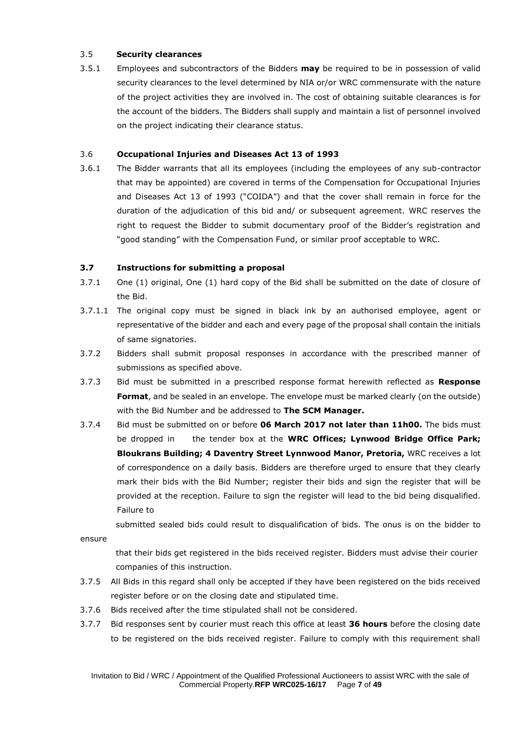## 3.5 **Security clearances**

3.5.1 Employees and subcontractors of the Bidders **may** be required to be in possession of valid security clearances to the level determined by NIA or/or WRC commensurate with the nature of the project activities they are involved in. The cost of obtaining suitable clearances is for the account of the bidders. The Bidders shall supply and maintain a list of personnel involved on the project indicating their clearance status.

## 3.6 **Occupational Injuries and Diseases Act 13 of 1993**

3.6.1 The Bidder warrants that all its employees (including the employees of any sub-contractor that may be appointed) are covered in terms of the Compensation for Occupational Injuries and Diseases Act 13 of 1993 ("COIDA") and that the cover shall remain in force for the duration of the adjudication of this bid and/ or subsequent agreement. WRC reserves the right to request the Bidder to submit documentary proof of the Bidder's registration and "good standing" with the Compensation Fund, or similar proof acceptable to WRC.

## **3.7 Instructions for submitting a proposal**

- 3.7.1 One (1) original, One (1) hard copy of the Bid shall be submitted on the date of closure of the Bid.
- 3.7.1.1 The original copy must be signed in black ink by an authorised employee, agent or representative of the bidder and each and every page of the proposal shall contain the initials of same signatories.
- 3.7.2 Bidders shall submit proposal responses in accordance with the prescribed manner of submissions as specified above.
- 3.7.3 Bid must be submitted in a prescribed response format herewith reflected as **Response Format**, and be sealed in an envelope. The envelope must be marked clearly (on the outside) with the Bid Number and be addressed to **The SCM Manager.**
- 3.7.4 Bid must be submitted on or before **06 March 2017 not later than 11h00.** The bids must be dropped in the tender box at the **WRC Offices; Lynwood Bridge Office Park; Bloukrans Building; 4 Daventry Street Lynnwood Manor, Pretoria,** WRC receives a lot of correspondence on a daily basis. Bidders are therefore urged to ensure that they clearly mark their bids with the Bid Number; register their bids and sign the register that will be provided at the reception. Failure to sign the register will lead to the bid being disqualified. Failure to

submitted sealed bids could result to disqualification of bids. The onus is on the bidder to

ensure

that their bids get registered in the bids received register. Bidders must advise their courier companies of this instruction.

- 3.7.5 All Bids in this regard shall only be accepted if they have been registered on the bids received register before or on the closing date and stipulated time.
- 3.7.6 Bids received after the time stipulated shall not be considered.
- 3.7.7 Bid responses sent by courier must reach this office at least **36 hours** before the closing date to be registered on the bids received register. Failure to comply with this requirement shall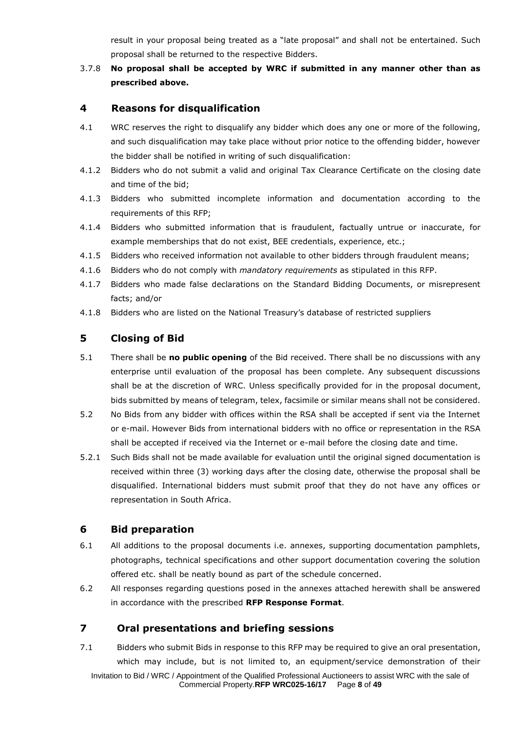result in your proposal being treated as a "late proposal" and shall not be entertained. Such proposal shall be returned to the respective Bidders.

## 3.7.8 **No proposal shall be accepted by WRC if submitted in any manner other than as prescribed above.**

## **4 Reasons for disqualification**

- 4.1 WRC reserves the right to disqualify any bidder which does any one or more of the following, and such disqualification may take place without prior notice to the offending bidder, however the bidder shall be notified in writing of such disqualification:
- 4.1.2 Bidders who do not submit a valid and original Tax Clearance Certificate on the closing date and time of the bid;
- 4.1.3 Bidders who submitted incomplete information and documentation according to the requirements of this RFP;
- 4.1.4 Bidders who submitted information that is fraudulent, factually untrue or inaccurate, for example memberships that do not exist, BEE credentials, experience, etc.;
- 4.1.5 Bidders who received information not available to other bidders through fraudulent means;
- 4.1.6 Bidders who do not comply with *mandatory requirements* as stipulated in this RFP.
- 4.1.7 Bidders who made false declarations on the Standard Bidding Documents, or misrepresent facts; and/or
- 4.1.8 Bidders who are listed on the National Treasury's database of restricted suppliers

## **5 Closing of Bid**

- 5.1 There shall be **no public opening** of the Bid received. There shall be no discussions with any enterprise until evaluation of the proposal has been complete. Any subsequent discussions shall be at the discretion of WRC. Unless specifically provided for in the proposal document, bids submitted by means of telegram, telex, facsimile or similar means shall not be considered.
- 5.2 No Bids from any bidder with offices within the RSA shall be accepted if sent via the Internet or e-mail. However Bids from international bidders with no office or representation in the RSA shall be accepted if received via the Internet or e-mail before the closing date and time.
- 5.2.1 Such Bids shall not be made available for evaluation until the original signed documentation is received within three (3) working days after the closing date, otherwise the proposal shall be disqualified. International bidders must submit proof that they do not have any offices or representation in South Africa.

## **6 Bid preparation**

- 6.1 All additions to the proposal documents i.e. annexes, supporting documentation pamphlets, photographs, technical specifications and other support documentation covering the solution offered etc. shall be neatly bound as part of the schedule concerned.
- 6.2 All responses regarding questions posed in the annexes attached herewith shall be answered in accordance with the prescribed **RFP Response Format**.

## **7 Oral presentations and briefing sessions**

Invitation to Bid / WRC / Appointment of the Qualified Professional Auctioneers to assist WRC with the sale of Commercial Property.**RFP WRC025-16/17** Page **8** of **49** 7.1 Bidders who submit Bids in response to this RFP may be required to give an oral presentation, which may include, but is not limited to, an equipment/service demonstration of their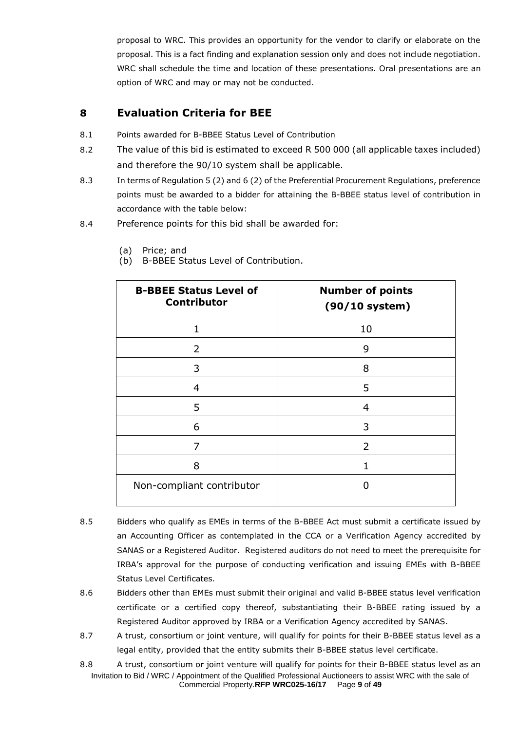proposal to WRC. This provides an opportunity for the vendor to clarify or elaborate on the proposal. This is a fact finding and explanation session only and does not include negotiation. WRC shall schedule the time and location of these presentations. Oral presentations are an option of WRC and may or may not be conducted.

# **8 Evaluation Criteria for BEE**

- 8.1 Points awarded for B-BBEE Status Level of Contribution
- 8.2 The value of this bid is estimated to exceed R 500 000 (all applicable taxes included) and therefore the 90/10 system shall be applicable.
- 8.3 In terms of Regulation 5 (2) and 6 (2) of the Preferential Procurement Regulations, preference points must be awarded to a bidder for attaining the B-BBEE status level of contribution in accordance with the table below:
- 8.4 Preference points for this bid shall be awarded for:

| <b>B-BBEE Status Level of</b><br><b>Contributor</b> | <b>Number of points</b><br>$(90/10$ system) |
|-----------------------------------------------------|---------------------------------------------|
| $\mathbf{1}$                                        | 10                                          |
| 2                                                   | 9                                           |
| 3                                                   | 8                                           |
| $\overline{4}$                                      | 5                                           |
| 5                                                   | 4                                           |
| 6                                                   | 3                                           |
| 7                                                   | $\overline{2}$                              |
| 8                                                   |                                             |
| Non-compliant contributor                           | n                                           |

- (a) Price; and
- (b) B-BBEE Status Level of Contribution.

- 8.5 Bidders who qualify as EMEs in terms of the B-BBEE Act must submit a certificate issued by an Accounting Officer as contemplated in the CCA or a Verification Agency accredited by SANAS or a Registered Auditor. Registered auditors do not need to meet the prerequisite for IRBA's approval for the purpose of conducting verification and issuing EMEs with B-BBEE Status Level Certificates.
- 8.6 Bidders other than EMEs must submit their original and valid B-BBEE status level verification certificate or a certified copy thereof, substantiating their B-BBEE rating issued by a Registered Auditor approved by IRBA or a Verification Agency accredited by SANAS.
- 8.7 A trust, consortium or joint venture, will qualify for points for their B-BBEE status level as a legal entity, provided that the entity submits their B-BBEE status level certificate.

Invitation to Bid / WRC / Appointment of the Qualified Professional Auctioneers to assist WRC with the sale of Commercial Property.**RFP WRC025-16/17** Page **9** of **49** 8.8 A trust, consortium or joint venture will qualify for points for their B-BBEE status level as an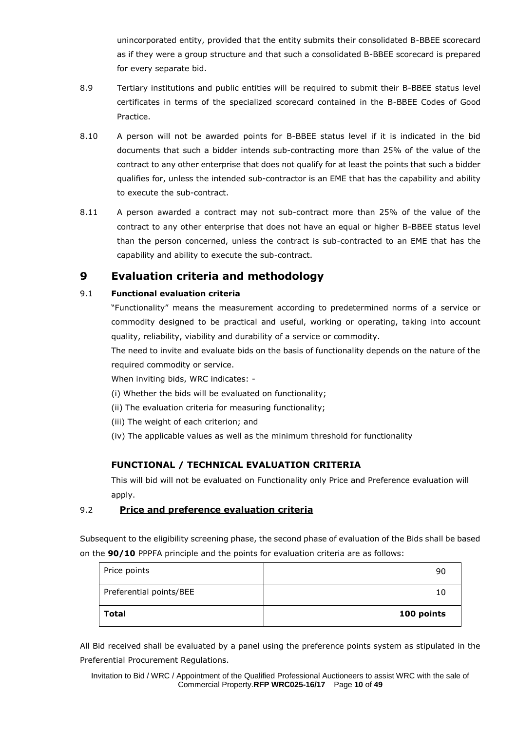unincorporated entity, provided that the entity submits their consolidated B-BBEE scorecard as if they were a group structure and that such a consolidated B-BBEE scorecard is prepared for every separate bid.

- 8.9 Tertiary institutions and public entities will be required to submit their B-BBEE status level certificates in terms of the specialized scorecard contained in the B-BBEE Codes of Good Practice.
- 8.10 A person will not be awarded points for B-BBEE status level if it is indicated in the bid documents that such a bidder intends sub-contracting more than 25% of the value of the contract to any other enterprise that does not qualify for at least the points that such a bidder qualifies for, unless the intended sub-contractor is an EME that has the capability and ability to execute the sub-contract.
- 8.11 A person awarded a contract may not sub-contract more than 25% of the value of the contract to any other enterprise that does not have an equal or higher B-BBEE status level than the person concerned, unless the contract is sub-contracted to an EME that has the capability and ability to execute the sub-contract.

# **9 Evaluation criteria and methodology**

## 9.1 **Functional evaluation criteria**

"Functionality" means the measurement according to predetermined norms of a service or commodity designed to be practical and useful, working or operating, taking into account quality, reliability, viability and durability of a service or commodity.

The need to invite and evaluate bids on the basis of functionality depends on the nature of the required commodity or service.

When inviting bids, WRC indicates: -

(i) Whether the bids will be evaluated on functionality;

- (ii) The evaluation criteria for measuring functionality;
- (iii) The weight of each criterion; and
- (iv) The applicable values as well as the minimum threshold for functionality

# **FUNCTIONAL / TECHNICAL EVALUATION CRITERIA**

This will bid will not be evaluated on Functionality only Price and Preference evaluation will apply.

## 9.2 **Price and preference evaluation criteria**

Subsequent to the eligibility screening phase, the second phase of evaluation of the Bids shall be based on the **90/10** PPPFA principle and the points for evaluation criteria are as follows:

| <b>Total</b>            | 100 points |
|-------------------------|------------|
| Preferential points/BEE | 10         |
| Price points            | 90         |

All Bid received shall be evaluated by a panel using the preference points system as stipulated in the Preferential Procurement Regulations.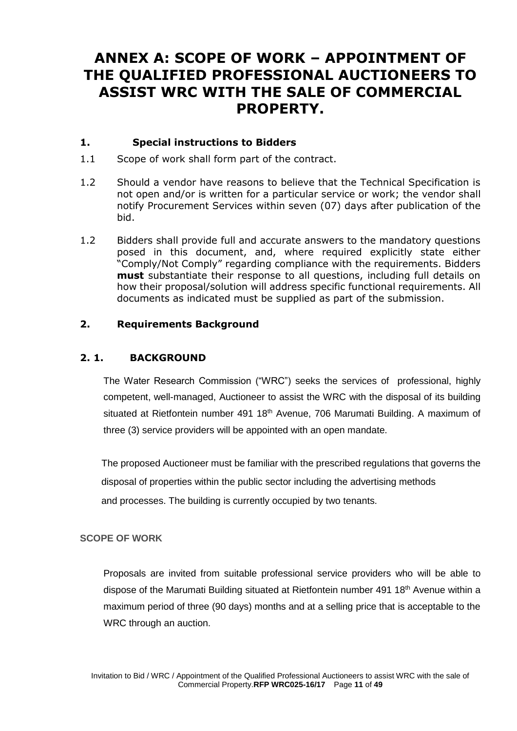# **ANNEX A: SCOPE OF WORK – APPOINTMENT OF THE QUALIFIED PROFESSIONAL AUCTIONEERS TO ASSIST WRC WITH THE SALE OF COMMERCIAL PROPERTY.**

# **1. Special instructions to Bidders**

- 1.1 Scope of work shall form part of the contract.
- 1.2 Should a vendor have reasons to believe that the Technical Specification is not open and/or is written for a particular service or work; the vendor shall notify Procurement Services within seven (07) days after publication of the bid.
- 1.2 Bidders shall provide full and accurate answers to the mandatory questions posed in this document, and, where required explicitly state either "Comply/Not Comply" regarding compliance with the requirements. Bidders **must** substantiate their response to all questions, including full details on how their proposal/solution will address specific functional requirements. All documents as indicated must be supplied as part of the submission.

# **2. Requirements Background**

# **2. 1. BACKGROUND**

The Water Research Commission ("WRC") seeks the services of professional, highly competent, well-managed, Auctioneer to assist the WRC with the disposal of its building situated at Rietfontein number 491 18<sup>th</sup> Avenue, 706 Marumati Building. A maximum of three (3) service providers will be appointed with an open mandate.

 The proposed Auctioneer must be familiar with the prescribed regulations that governs the disposal of properties within the public sector including the advertising methods and processes. The building is currently occupied by two tenants.

# **SCOPE OF WORK**

Proposals are invited from suitable professional service providers who will be able to dispose of the Marumati Building situated at Rietfontein number 491 18<sup>th</sup> Avenue within a maximum period of three (90 days) months and at a selling price that is acceptable to the WRC through an auction.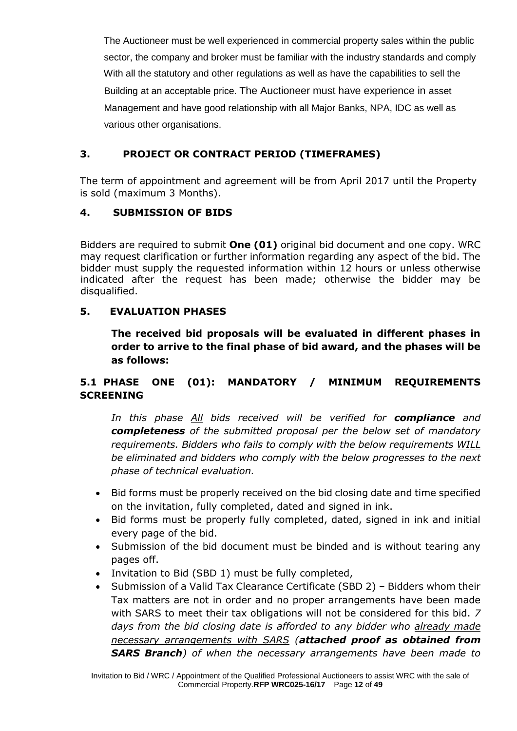The Auctioneer must be well experienced in commercial property sales within the public sector, the company and broker must be familiar with the industry standards and comply With all the statutory and other regulations as well as have the capabilities to sell the Building at an acceptable price. The Auctioneer must have experience in asset Management and have good relationship with all Major Banks, NPA, IDC as well as various other organisations.

# **3. PROJECT OR CONTRACT PERIOD (TIMEFRAMES)**

The term of appointment and agreement will be from April 2017 until the Property is sold (maximum 3 Months).

# **4. SUBMISSION OF BIDS**

Bidders are required to submit **One (01)** original bid document and one copy. WRC may request clarification or further information regarding any aspect of the bid. The bidder must supply the requested information within 12 hours or unless otherwise indicated after the request has been made; otherwise the bidder may be disqualified.

# **5. EVALUATION PHASES**

**The received bid proposals will be evaluated in different phases in order to arrive to the final phase of bid award, and the phases will be as follows:**

# **5.1 PHASE ONE (01): MANDATORY / MINIMUM REQUIREMENTS SCREENING**

*In this phase All bids received will be verified for compliance and completeness of the submitted proposal per the below set of mandatory requirements. Bidders who fails to comply with the below requirements WILL be eliminated and bidders who comply with the below progresses to the next phase of technical evaluation.*

- Bid forms must be properly received on the bid closing date and time specified on the invitation, fully completed, dated and signed in ink.
- Bid forms must be properly fully completed, dated, signed in ink and initial every page of the bid.
- Submission of the bid document must be binded and is without tearing any pages off.
- Invitation to Bid (SBD 1) must be fully completed,
- Submission of a Valid Tax Clearance Certificate (SBD 2) Bidders whom their Tax matters are not in order and no proper arrangements have been made with SARS to meet their tax obligations will not be considered for this bid. *7 days from the bid closing date is afforded to any bidder who already made necessary arrangements with SARS (attached proof as obtained from SARS Branch) of when the necessary arrangements have been made to*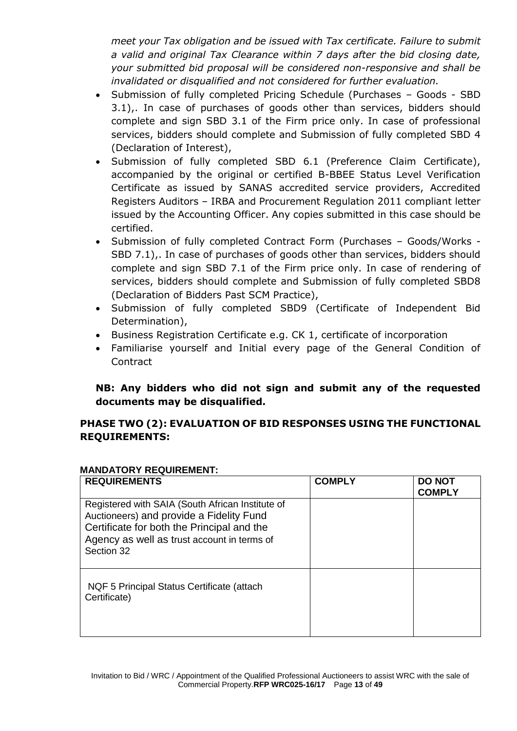*meet your Tax obligation and be issued with Tax certificate. Failure to submit a valid and original Tax Clearance within 7 days after the bid closing date, your submitted bid proposal will be considered non-responsive and shall be invalidated or disqualified and not considered for further evaluation.*

- Submission of fully completed Pricing Schedule (Purchases Goods SBD 3.1),. In case of purchases of goods other than services, bidders should complete and sign SBD 3.1 of the Firm price only. In case of professional services, bidders should complete and Submission of fully completed SBD 4 (Declaration of Interest),
- Submission of fully completed SBD 6.1 (Preference Claim Certificate), accompanied by the original or certified B-BBEE Status Level Verification Certificate as issued by SANAS accredited service providers, Accredited Registers Auditors – IRBA and Procurement Regulation 2011 compliant letter issued by the Accounting Officer. Any copies submitted in this case should be certified.
- Submission of fully completed Contract Form (Purchases Goods/Works SBD 7.1),. In case of purchases of goods other than services, bidders should complete and sign SBD 7.1 of the Firm price only. In case of rendering of services, bidders should complete and Submission of fully completed SBD8 (Declaration of Bidders Past SCM Practice),
- Submission of fully completed SBD9 (Certificate of Independent Bid Determination),
- Business Registration Certificate e.g. CK 1, certificate of incorporation
- Familiarise yourself and Initial every page of the General Condition of **Contract**

# **NB: Any bidders who did not sign and submit any of the requested documents may be disqualified.**

# **PHASE TWO (2): EVALUATION OF BID RESPONSES USING THE FUNCTIONAL REQUIREMENTS:**

# **MANDATORY REQUIREMENT:**

| <b>REQUIREMENTS</b>                                                                                                                                                                                     | <b>COMPLY</b> | <b>DO NOT</b><br><b>COMPLY</b> |
|---------------------------------------------------------------------------------------------------------------------------------------------------------------------------------------------------------|---------------|--------------------------------|
| Registered with SAIA (South African Institute of<br>Auctioneers) and provide a Fidelity Fund<br>Certificate for both the Principal and the<br>Agency as well as trust account in terms of<br>Section 32 |               |                                |
| NQF 5 Principal Status Certificate (attach<br>Certificate)                                                                                                                                              |               |                                |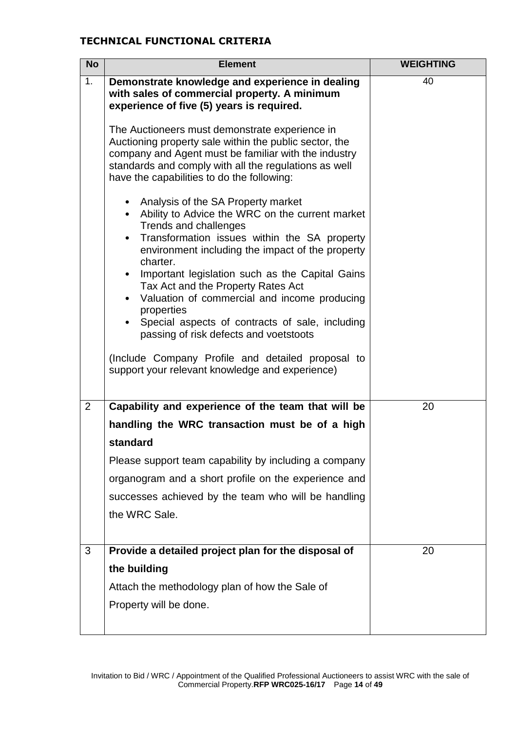# **TECHNICAL FUNCTIONAL CRITERIA**

| <b>No</b>      | <b>Element</b>                                                                                                                                                                                                                                                                                                                                                                                                                                        | <b>WEIGHTING</b> |
|----------------|-------------------------------------------------------------------------------------------------------------------------------------------------------------------------------------------------------------------------------------------------------------------------------------------------------------------------------------------------------------------------------------------------------------------------------------------------------|------------------|
| 1.             | Demonstrate knowledge and experience in dealing<br>with sales of commercial property. A minimum<br>experience of five (5) years is required.                                                                                                                                                                                                                                                                                                          | 40               |
|                | The Auctioneers must demonstrate experience in<br>Auctioning property sale within the public sector, the<br>company and Agent must be familiar with the industry<br>standards and comply with all the regulations as well<br>have the capabilities to do the following:                                                                                                                                                                               |                  |
|                | Analysis of the SA Property market<br>Ability to Advice the WRC on the current market<br>$\bullet$<br>Trends and challenges<br>Transformation issues within the SA property<br>environment including the impact of the property<br>charter.<br>Important legislation such as the Capital Gains<br>Tax Act and the Property Rates Act<br>Valuation of commercial and income producing<br>properties<br>Special aspects of contracts of sale, including |                  |
|                | passing of risk defects and voetstoots<br>(Include Company Profile and detailed proposal to<br>support your relevant knowledge and experience)                                                                                                                                                                                                                                                                                                        |                  |
| $\overline{2}$ | Capability and experience of the team that will be                                                                                                                                                                                                                                                                                                                                                                                                    | 20               |
|                | handling the WRC transaction must be of a high                                                                                                                                                                                                                                                                                                                                                                                                        |                  |
|                | standard                                                                                                                                                                                                                                                                                                                                                                                                                                              |                  |
|                | Please support team capability by including a company                                                                                                                                                                                                                                                                                                                                                                                                 |                  |
|                | organogram and a short profile on the experience and                                                                                                                                                                                                                                                                                                                                                                                                  |                  |
|                | successes achieved by the team who will be handling                                                                                                                                                                                                                                                                                                                                                                                                   |                  |
|                | the WRC Sale.                                                                                                                                                                                                                                                                                                                                                                                                                                         |                  |
|                |                                                                                                                                                                                                                                                                                                                                                                                                                                                       |                  |
| 3              | Provide a detailed project plan for the disposal of                                                                                                                                                                                                                                                                                                                                                                                                   | 20               |
|                | the building                                                                                                                                                                                                                                                                                                                                                                                                                                          |                  |
|                | Attach the methodology plan of how the Sale of                                                                                                                                                                                                                                                                                                                                                                                                        |                  |
|                | Property will be done.                                                                                                                                                                                                                                                                                                                                                                                                                                |                  |
|                |                                                                                                                                                                                                                                                                                                                                                                                                                                                       |                  |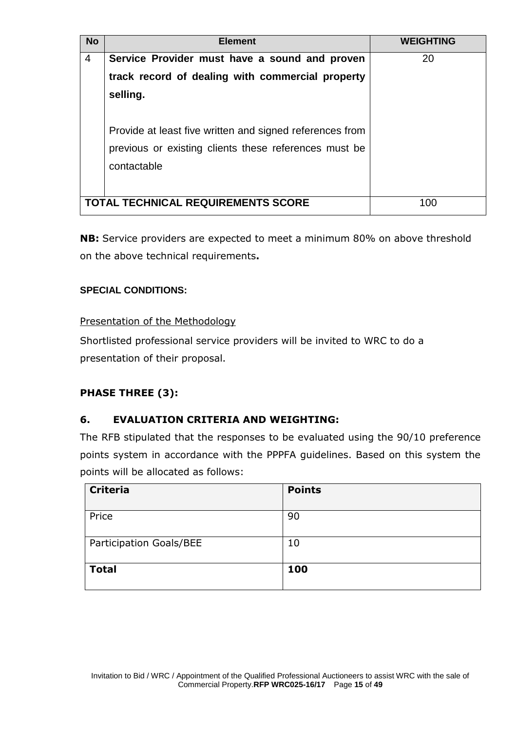| <b>No</b>      | <b>Element</b>                                                                                                                                                                                                                                    | <b>WEIGHTING</b> |
|----------------|---------------------------------------------------------------------------------------------------------------------------------------------------------------------------------------------------------------------------------------------------|------------------|
| $\overline{4}$ | Service Provider must have a sound and proven<br>track record of dealing with commercial property<br>selling.<br>Provide at least five written and signed references from<br>previous or existing clients these references must be<br>contactable | 20               |
|                | TOTAL TECHNICAL REQUIREMENTS SCORE                                                                                                                                                                                                                | 100              |

**NB:** Service providers are expected to meet a minimum 80% on above threshold on the above technical requirements**.**

# **SPECIAL CONDITIONS:**

# Presentation of the Methodology

Shortlisted professional service providers will be invited to WRC to do a presentation of their proposal.

# **PHASE THREE (3):**

# **6. EVALUATION CRITERIA AND WEIGHTING:**

The RFB stipulated that the responses to be evaluated using the 90/10 preference points system in accordance with the PPPFA guidelines. Based on this system the points will be allocated as follows:

| <b>Criteria</b>         | <b>Points</b> |
|-------------------------|---------------|
| Price                   | 90            |
| Participation Goals/BEE | 10            |
| <b>Total</b>            | 100           |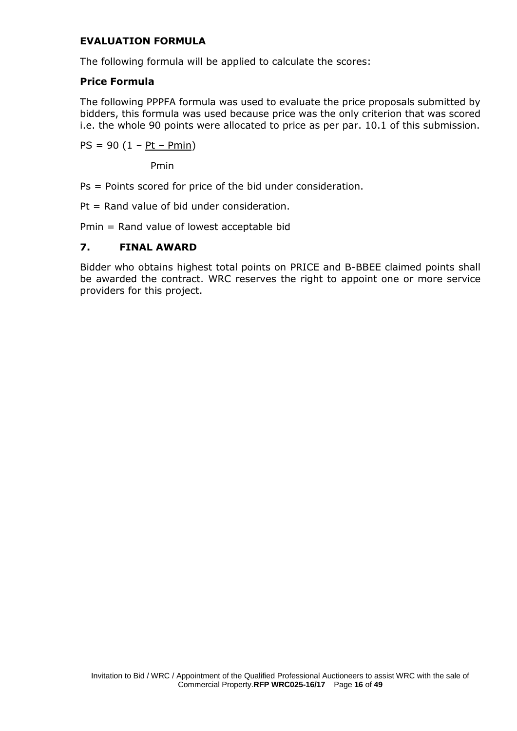# **EVALUATION FORMULA**

The following formula will be applied to calculate the scores:

# **Price Formula**

The following PPPFA formula was used to evaluate the price proposals submitted by bidders, this formula was used because price was the only criterion that was scored i.e. the whole 90 points were allocated to price as per par. 10.1 of this submission.

 $PS = 90 (1 - Pt - Pmin)$ 

Pmin

Ps = Points scored for price of the bid under consideration.

 $Pt = Rand$  value of bid under consideration.

Pmin = Rand value of lowest acceptable bid

## **7. FINAL AWARD**

Bidder who obtains highest total points on PRICE and B-BBEE claimed points shall be awarded the contract. WRC reserves the right to appoint one or more service providers for this project.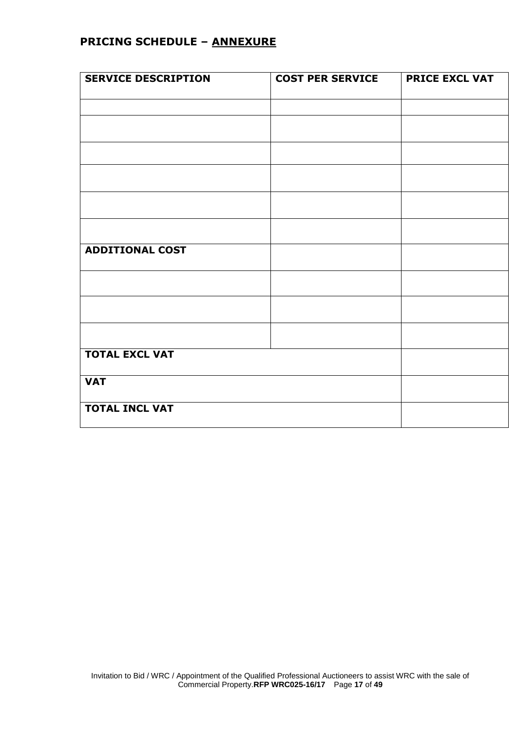# **PRICING SCHEDULE – ANNEXURE**

| <b>SERVICE DESCRIPTION</b> | <b>COST PER SERVICE</b> | <b>PRICE EXCL VAT</b> |
|----------------------------|-------------------------|-----------------------|
|                            |                         |                       |
|                            |                         |                       |
|                            |                         |                       |
|                            |                         |                       |
|                            |                         |                       |
|                            |                         |                       |
|                            |                         |                       |
| <b>ADDITIONAL COST</b>     |                         |                       |
|                            |                         |                       |
|                            |                         |                       |
|                            |                         |                       |
| <b>TOTAL EXCL VAT</b>      |                         |                       |
| <b>VAT</b>                 |                         |                       |
| <b>TOTAL INCL VAT</b>      |                         |                       |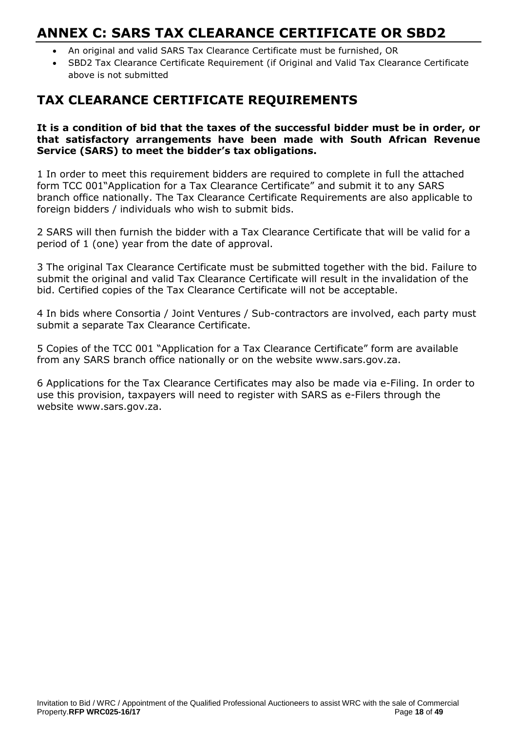# **ANNEX C: SARS TAX CLEARANCE CERTIFICATE OR SBD2**

- An original and valid SARS Tax Clearance Certificate must be furnished, OR
- SBD2 Tax Clearance Certificate Requirement (if Original and Valid Tax Clearance Certificate above is not submitted

# **TAX CLEARANCE CERTIFICATE REQUIREMENTS**

## **It is a condition of bid that the taxes of the successful bidder must be in order, or that satisfactory arrangements have been made with South African Revenue Service (SARS) to meet the bidder's tax obligations.**

1 In order to meet this requirement bidders are required to complete in full the attached form TCC 001"Application for a Tax Clearance Certificate" and submit it to any SARS branch office nationally. The Tax Clearance Certificate Requirements are also applicable to foreign bidders / individuals who wish to submit bids.

2 SARS will then furnish the bidder with a Tax Clearance Certificate that will be valid for a period of 1 (one) year from the date of approval.

3 The original Tax Clearance Certificate must be submitted together with the bid. Failure to submit the original and valid Tax Clearance Certificate will result in the invalidation of the bid. Certified copies of the Tax Clearance Certificate will not be acceptable.

4 In bids where Consortia / Joint Ventures / Sub-contractors are involved, each party must submit a separate Tax Clearance Certificate.

5 Copies of the TCC 001 "Application for a Tax Clearance Certificate" form are available from any SARS branch office nationally or on the website www.sars.gov.za.

6 Applications for the Tax Clearance Certificates may also be made via e-Filing. In order to use this provision, taxpayers will need to register with SARS as e-Filers through the website www.sars.gov.za.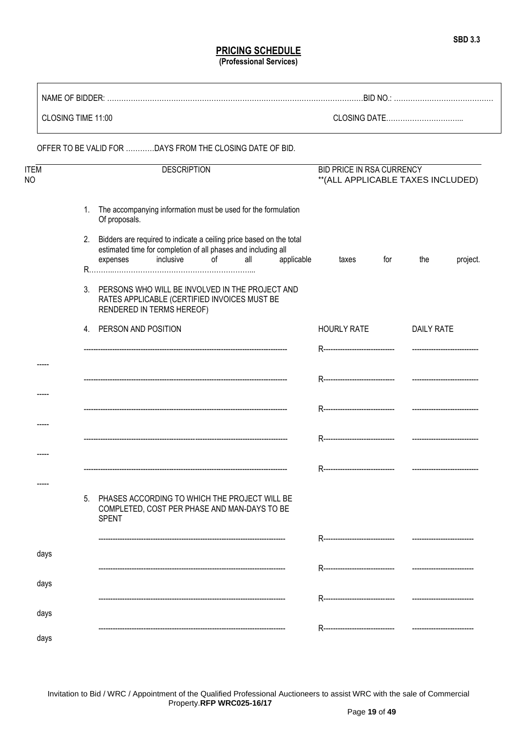## **PRICING SCHEDULE (Professional Services)**

|            | CLOSING TIME 11:00 |    |                                                                                                                                                                            |            |                                                                 |                   |
|------------|--------------------|----|----------------------------------------------------------------------------------------------------------------------------------------------------------------------------|------------|-----------------------------------------------------------------|-------------------|
|            |                    |    | OFFER TO BE VALID FOR DAYS FROM THE CLOSING DATE OF BID.                                                                                                                   |            |                                                                 |                   |
| ITEM<br>NΟ |                    |    | <b>DESCRIPTION</b>                                                                                                                                                         |            | BID PRICE IN RSA CURRENCY<br>** (ALL APPLICABLE TAXES INCLUDED) |                   |
|            |                    | 1. | The accompanying information must be used for the formulation<br>Of proposals.                                                                                             |            |                                                                 |                   |
|            |                    | 2. | Bidders are required to indicate a ceiling price based on the total<br>estimated time for completion of all phases and including all<br>inclusive<br>of<br>all<br>expenses | applicable | for<br>taxes                                                    | the<br>project.   |
|            |                    | 3. | PERSONS WHO WILL BE INVOLVED IN THE PROJECT AND<br>RATES APPLICABLE (CERTIFIED INVOICES MUST BE<br>RENDERED IN TERMS HEREOF)                                               |            |                                                                 |                   |
|            |                    |    | 4. PERSON AND POSITION                                                                                                                                                     |            | <b>HOURLY RATE</b>                                              | <b>DAILY RATE</b> |
|            |                    |    |                                                                                                                                                                            |            |                                                                 |                   |
|            |                    |    |                                                                                                                                                                            |            |                                                                 |                   |
|            |                    |    |                                                                                                                                                                            |            |                                                                 |                   |
|            |                    |    |                                                                                                                                                                            |            |                                                                 |                   |
|            |                    |    |                                                                                                                                                                            |            |                                                                 |                   |
|            |                    | 5. | PHASES ACCORDING TO WHICH THE PROJECT WILL BE<br>COMPLETED, COST PER PHASE AND MAN-DAYS TO BE                                                                              |            |                                                                 |                   |
|            |                    |    | <b>SPENT</b>                                                                                                                                                               |            |                                                                 |                   |
|            | days               |    |                                                                                                                                                                            |            | R-------------------------------                                |                   |
|            | days               |    |                                                                                                                                                                            |            | R--------------------------------                               |                   |
|            |                    |    |                                                                                                                                                                            |            | R-------------------------------                                |                   |
|            | days               |    |                                                                                                                                                                            |            | R-------------------------------                                |                   |
|            | days               |    |                                                                                                                                                                            |            |                                                                 |                   |

Invitation to Bid / WRC / Appointment of the Qualified Professional Auctioneers to assist WRC with the sale of Commercial Property.**RFP WRC025-16/17**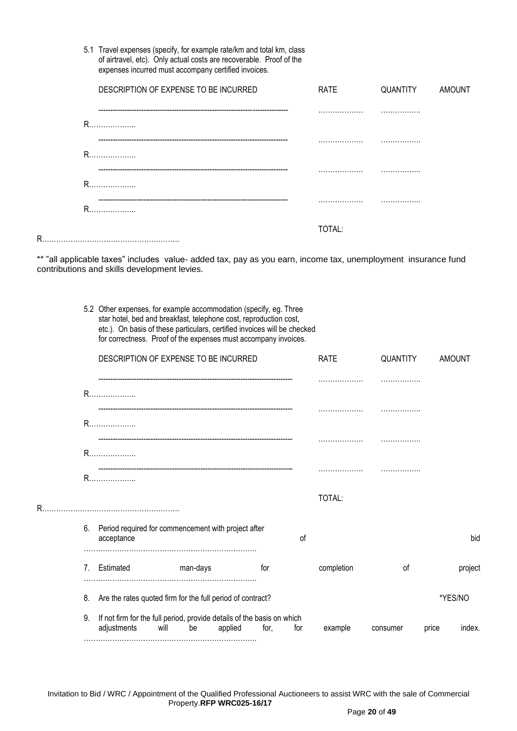| 5.1 Travel expenses (specify, for example rate/km and total km, class |
|-----------------------------------------------------------------------|
| of airtravel, etc). Only actual costs are recoverable. Proof of the   |
| expenses incurred must accompany certified invoices.                  |

|   | DESCRIPTION OF EXPENSE TO BE INCURRED | RATE   | QUANTITY AMOUNT |  |
|---|---------------------------------------|--------|-----------------|--|
|   |                                       |        |                 |  |
|   | R                                     |        |                 |  |
|   | R                                     |        |                 |  |
|   |                                       |        | .               |  |
|   | R                                     |        |                 |  |
|   | R                                     |        |                 |  |
| R |                                       | TOTAL: |                 |  |

\*\* "all applicable taxes" includes value- added tax, pay as you earn, income tax, unemployment insurance fund contributions and skills development levies.

> 5.2 Other expenses, for example accommodation (specify, eg. Three star hotel, bed and breakfast, telephone cost, reproduction cost, etc.). On basis of these particulars, certified invoices will be checked for correctness. Proof of the expenses must accompany invoices.

|    |                   | DESCRIPTION OF EXPENSE TO BE INCURRED                                                |         |      | <b>RATE</b> | QUANTITY   |          | <b>AMOUNT</b> |         |
|----|-------------------|--------------------------------------------------------------------------------------|---------|------|-------------|------------|----------|---------------|---------|
|    |                   |                                                                                      |         |      |             |            |          |               |         |
|    | R                 |                                                                                      |         |      |             |            |          |               |         |
|    | R                 |                                                                                      |         |      |             |            |          |               |         |
|    |                   |                                                                                      |         |      |             |            |          |               |         |
| R. |                   |                                                                                      |         |      |             | TOTAL:     |          |               |         |
|    | 6.<br>acceptance  | Period required for commencement with project after                                  |         |      | of          |            |          |               | bid     |
|    | Estimated<br>7.   | man-days                                                                             |         | for  |             | completion | οf       |               | project |
|    | 8.                | Are the rates quoted firm for the full period of contract?                           |         |      |             |            |          |               | *YES/NO |
|    | 9.<br>adjustments | If not firm for the full period, provide details of the basis on which<br>will<br>be | applied | for. | for         | example    | consumer | price         | index.  |

Invitation to Bid / WRC / Appointment of the Qualified Professional Auctioneers to assist WRC with the sale of Commercial Property.**RFP WRC025-16/17**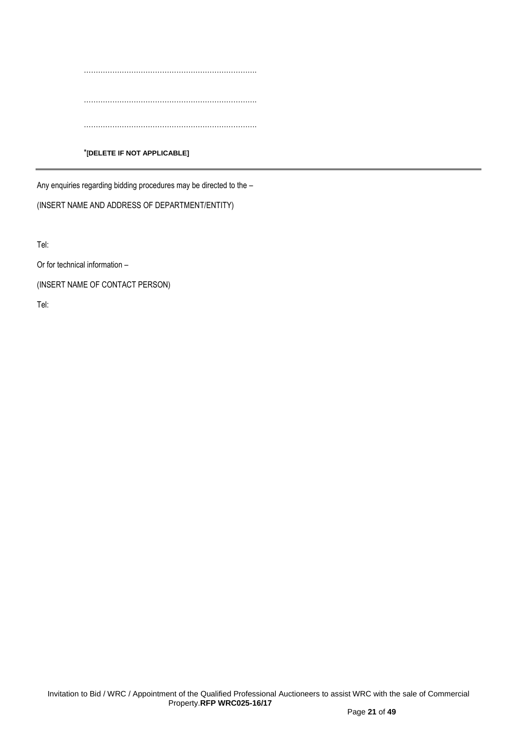………………………………………………………………. ………………………………………………………………. …………………………………………………………………

## \***[DELETE IF NOT APPLICABLE]**

Any enquiries regarding bidding procedures may be directed to the –

(INSERT NAME AND ADDRESS OF DEPARTMENT/ENTITY)

Tel:

Or for technical information –

(INSERT NAME OF CONTACT PERSON)

Tel: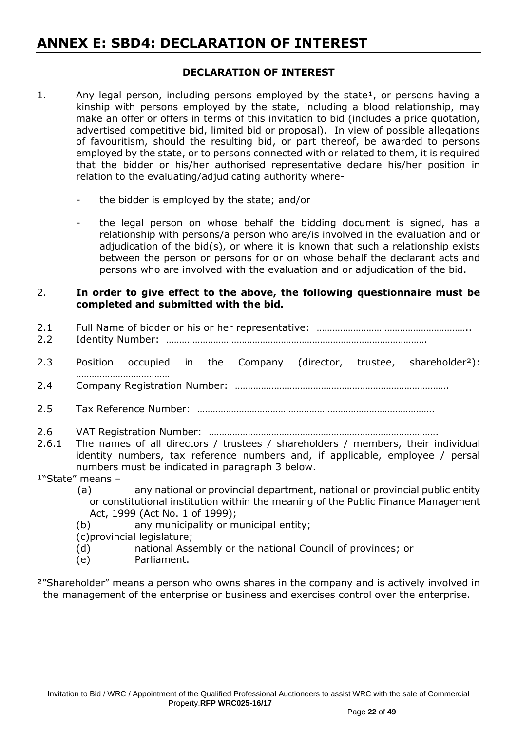# **ANNEX E: SBD4: DECLARATION OF INTEREST**

## **DECLARATION OF INTEREST**

- 1. Any legal person, including persons employed by the state<sup>1</sup>, or persons having a kinship with persons employed by the state, including a blood relationship, may make an offer or offers in terms of this invitation to bid (includes a price quotation, advertised competitive bid, limited bid or proposal). In view of possible allegations of favouritism, should the resulting bid, or part thereof, be awarded to persons employed by the state, or to persons connected with or related to them, it is required that the bidder or his/her authorised representative declare his/her position in relation to the evaluating/adjudicating authority where
	- the bidder is employed by the state; and/or
	- the legal person on whose behalf the bidding document is signed, has a relationship with persons/a person who are/is involved in the evaluation and or adjudication of the bid(s), or where it is known that such a relationship exists between the person or persons for or on whose behalf the declarant acts and persons who are involved with the evaluation and or adjudication of the bid.

## 2. **In order to give effect to the above, the following questionnaire must be completed and submitted with the bid.**

- 2.1 Full Name of bidder or his or her representative: …………………………………………………………………… 2.2 Identity Number: ………………………………………………………………………………………. 2.3 Position occupied in the Company (director, trustee, shareholder<sup>2</sup>): ……………………………… 2.4 Company Registration Number: ………………………………………………………………………. 2.5 Tax Reference Number: ………………………………………………………………………………. 2.6 VAT Registration Number: ……………………………………………………………………………. 2.6.1 The names of all directors / trustees / shareholders / members, their individual identity numbers, tax reference numbers and, if applicable, employee / persal numbers must be indicated in paragraph 3 below.  $1"State"$  means -
	- (a) any national or provincial department, national or provincial public entity or constitutional institution within the meaning of the Public Finance Management Act, 1999 (Act No. 1 of 1999);
	- (b) any municipality or municipal entity;

(c)provincial legislature;

- (d) national Assembly or the national Council of provinces; or
- (e) Parliament.
- <sup>2</sup>"Shareholder" means a person who owns shares in the company and is actively involved in the management of the enterprise or business and exercises control over the enterprise.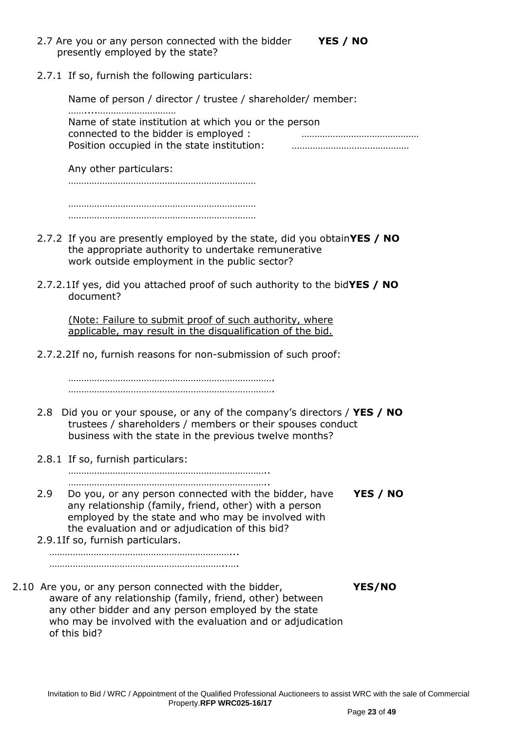2.7 Are you or any person connected with the bidder **YES / NO** presently employed by the state?

2.7.1 If so, furnish the following particulars:

Name of person / director / trustee / shareholder/ member: ……....………………………… Name of state institution at which you or the person connected to the bidder is employed : ……………………………………… Position occupied in the state institution: ………………………………………

Any other particulars:

……………………………………………………………… ………………………………………………………………

………………………………………………………………

- 2.7.2 If you are presently employed by the state, did you obtain**YES / NO** the appropriate authority to undertake remunerative work outside employment in the public sector?
- 2.7.2.1If yes, did you attached proof of such authority to the bid**YES / NO** document?

(Note: Failure to submit proof of such authority, where applicable, may result in the disqualification of the bid.

2.7.2.2If no, furnish reasons for non-submission of such proof:

……………………………………………………………………. …………………………………………………………………….

- 2.8 Did you or your spouse, or any of the company's directors / **YES / NO** trustees / shareholders / members or their spouses conduct business with the state in the previous twelve months?
- 2.8.1 If so, furnish particulars:

………………………………………………………………….. …………………………………………………………………..

- 2.9 Do you, or any person connected with the bidder, have **YES / NO** any relationship (family, friend, other) with a person employed by the state and who may be involved with the evaluation and or adjudication of this bid?
- 2.9.1If so, furnish particulars. ……………………………………………………………...

………………………………………………………………

2.10 Are you, or any person connected with the bidder, **YES/NO** aware of any relationship (family, friend, other) between any other bidder and any person employed by the state who may be involved with the evaluation and or adjudication of this bid?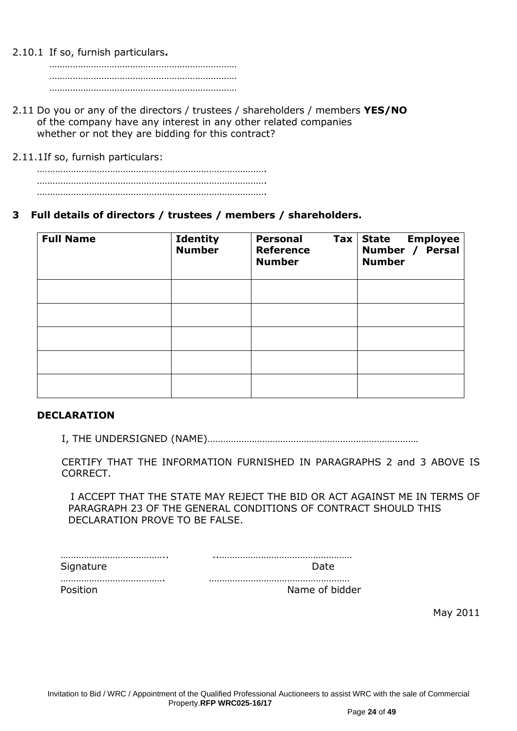2.10.1 If so, furnish particulars**.**

……………………………………………………………… ……………………………………………………………… ………………………………………………………………

2.11 Do you or any of the directors / trustees / shareholders / members **YES/NO** of the company have any interest in any other related companies whether or not they are bidding for this contract?

2.11.1If so, furnish particulars:

# **3 Full details of directors / trustees / members / shareholders.**

| <b>Full Name</b> | <b>Identity</b><br><b>Number</b> | <b>Personal</b><br>$\mathsf{Tax}$<br><b>Reference</b><br><b>Number</b> | <b>State Employee</b><br>Number / Persal<br><b>Number</b> |
|------------------|----------------------------------|------------------------------------------------------------------------|-----------------------------------------------------------|
|                  |                                  |                                                                        |                                                           |
|                  |                                  |                                                                        |                                                           |
|                  |                                  |                                                                        |                                                           |
|                  |                                  |                                                                        |                                                           |
|                  |                                  |                                                                        |                                                           |

## **DECLARATION**

I, THE UNDERSIGNED (NAME)………………………………………………………………………

CERTIFY THAT THE INFORMATION FURNISHED IN PARAGRAPHS 2 and 3 ABOVE IS CORRECT.

 I ACCEPT THAT THE STATE MAY REJECT THE BID OR ACT AGAINST ME IN TERMS OF PARAGRAPH 23 OF THE GENERAL CONDITIONS OF CONTRACT SHOULD THIS DECLARATION PROVE TO BE FALSE.

| Siar |  |
|------|--|

…………………………………. ………………………………………………

Position **Name of bidder** 

May 2011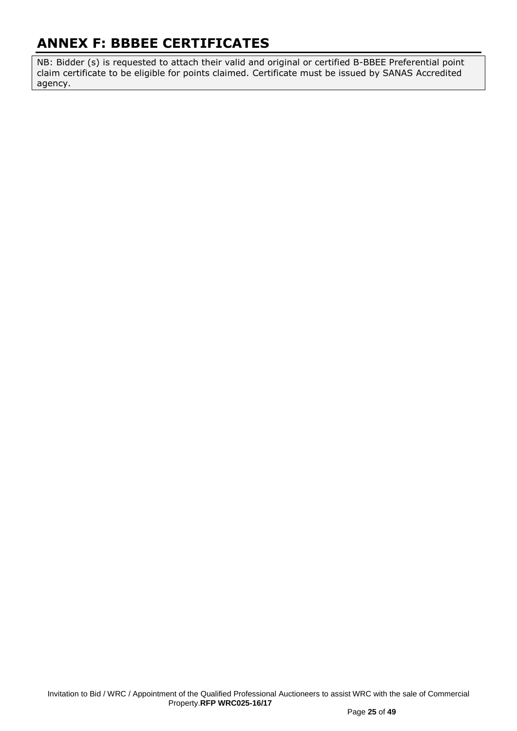# **ANNEX F: BBBEE CERTIFICATES**

NB: Bidder (s) is requested to attach their valid and original or certified B-BBEE Preferential point claim certificate to be eligible for points claimed. Certificate must be issued by SANAS Accredited agency.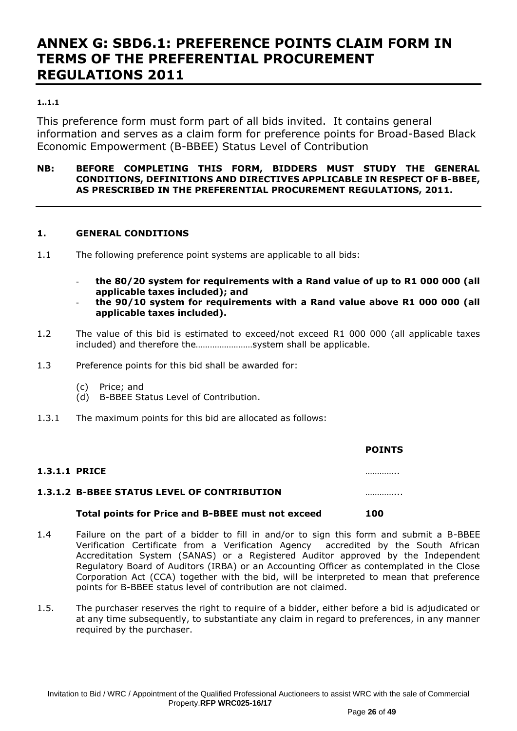# **ANNEX G: SBD6.1: PREFERENCE POINTS CLAIM FORM IN TERMS OF THE PREFERENTIAL PROCUREMENT REGULATIONS 2011**

## **1..1.1**

This preference form must form part of all bids invited. It contains general information and serves as a claim form for preference points for Broad-Based Black Economic Empowerment (B-BBEE) Status Level of Contribution

## **NB: BEFORE COMPLETING THIS FORM, BIDDERS MUST STUDY THE GENERAL CONDITIONS, DEFINITIONS AND DIRECTIVES APPLICABLE IN RESPECT OF B-BBEE, AS PRESCRIBED IN THE PREFERENTIAL PROCUREMENT REGULATIONS, 2011.**

## **1. GENERAL CONDITIONS**

- 1.1 The following preference point systems are applicable to all bids:
	- **the 80/20 system for requirements with a Rand value of up to R1 000 000 (all applicable taxes included); and**
	- **the 90/10 system for requirements with a Rand value above R1 000 000 (all applicable taxes included).**
- 1.2 The value of this bid is estimated to exceed/not exceed R1 000 000 (all applicable taxes included) and therefore the……………………system shall be applicable.
- 1.3 Preference points for this bid shall be awarded for:
	- (c) Price; and
	- (d) B-BBEE Status Level of Contribution.
- 1.3.1 The maximum points for this bid are allocated as follows:

|                      |                                                    | <b>POINTS</b> |
|----------------------|----------------------------------------------------|---------------|
| <b>1.3.1.1 PRICE</b> |                                                    | .             |
|                      | <b>1.3.1.2 B-BBEE STATUS LEVEL OF CONTRIBUTION</b> |               |
|                      | Total points for Price and B-BBEE must not exceed  | 100           |

#### 1.4 Failure on the part of a bidder to fill in and/or to sign this form and submit a B-BBEE Verification Certificate from a Verification Agency accredited by the South African Accreditation System (SANAS) or a Registered Auditor approved by the Independent Regulatory Board of Auditors (IRBA) or an Accounting Officer as contemplated in the Close Corporation Act (CCA) together with the bid, will be interpreted to mean that preference points for B-BBEE status level of contribution are not claimed.

1.5. The purchaser reserves the right to require of a bidder, either before a bid is adjudicated or at any time subsequently, to substantiate any claim in regard to preferences, in any manner required by the purchaser.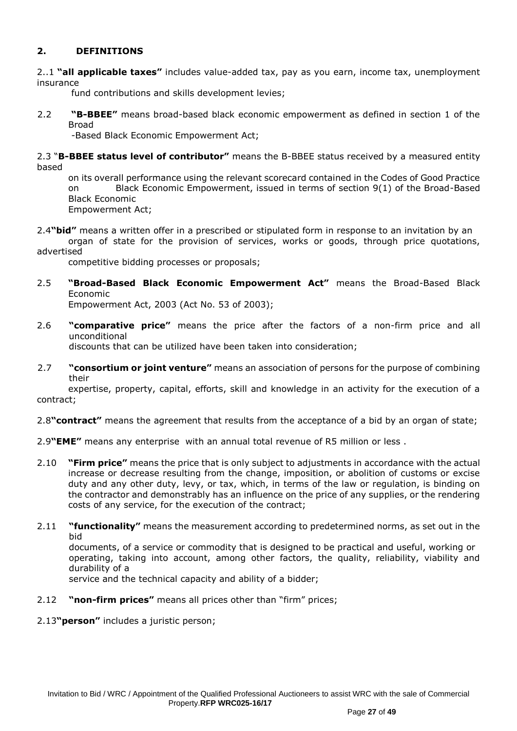# **2. DEFINITIONS**

2..1 **"all applicable taxes"** includes value-added tax, pay as you earn, income tax, unemployment insurance

fund contributions and skills development levies;

2.2 **"B-BBEE"** means broad-based black economic empowerment as defined in section 1 of the Broad

-Based Black Economic Empowerment Act;

2.3 "**B-BBEE status level of contributor"** means the B-BBEE status received by a measured entity based

on its overall performance using the relevant scorecard contained in the Codes of Good Practice on Black Economic Empowerment, issued in terms of section 9(1) of the Broad-Based Black Economic Empowerment Act;

2.4**"bid"** means a written offer in a prescribed or stipulated form in response to an invitation by an organ of state for the provision of services, works or goods, through price quotations,

advertised

competitive bidding processes or proposals;

2.5 **"Broad-Based Black Economic Empowerment Act"** means the Broad-Based Black Economic

Empowerment Act, 2003 (Act No. 53 of 2003);

2.6 **"comparative price"** means the price after the factors of a non-firm price and all unconditional

discounts that can be utilized have been taken into consideration;

2.7 **"consortium or joint venture"** means an association of persons for the purpose of combining their

expertise, property, capital, efforts, skill and knowledge in an activity for the execution of a contract;

2.8**"contract"** means the agreement that results from the acceptance of a bid by an organ of state;

- 2.9**"EME"** means any enterprise with an annual total revenue of R5 million or less .
- 2.10 **"Firm price"** means the price that is only subject to adjustments in accordance with the actual increase or decrease resulting from the change, imposition, or abolition of customs or excise duty and any other duty, levy, or tax, which, in terms of the law or regulation, is binding on the contractor and demonstrably has an influence on the price of any supplies, or the rendering costs of any service, for the execution of the contract;
- 2.11 **"functionality"** means the measurement according to predetermined norms, as set out in the bid

documents, of a service or commodity that is designed to be practical and useful, working or operating, taking into account, among other factors, the quality, reliability, viability and durability of a

service and the technical capacity and ability of a bidder;

2.12 **"non-firm prices"** means all prices other than "firm" prices;

2.13**"person"** includes a juristic person;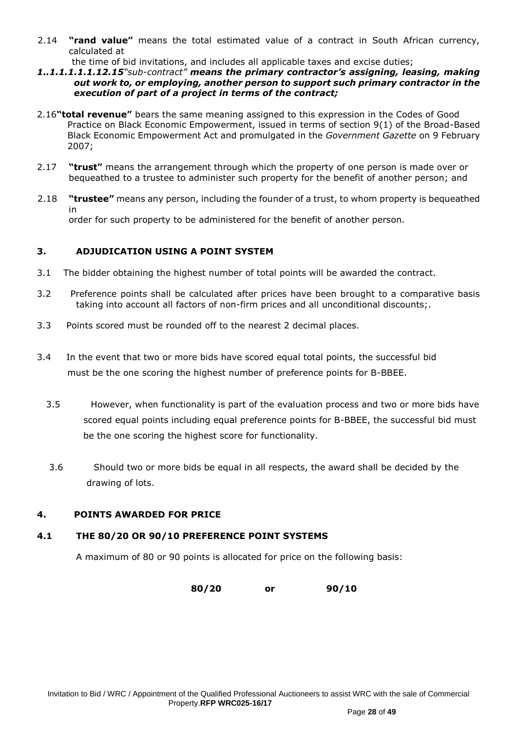- 2.14 **"rand value"** means the total estimated value of a contract in South African currency, calculated at
	- the time of bid invitations, and includes all applicable taxes and excise duties;
- *1..1.1.1.1.1.12.15"sub-contract" means the primary contractor's assigning, leasing, making out work to, or employing, another person to support such primary contractor in the execution of part of a project in terms of the contract;*
- 2.16**"total revenue"** bears the same meaning assigned to this expression in the Codes of Good Practice on Black Economic Empowerment, issued in terms of section 9(1) of the Broad-Based Black Economic Empowerment Act and promulgated in the *Government Gazette* on 9 February 2007;
- 2.17 **"trust"** means the arrangement through which the property of one person is made over or bequeathed to a trustee to administer such property for the benefit of another person; and
- 2.18 **"trustee"** means any person, including the founder of a trust, to whom property is bequeathed in order for such property to be administered for the benefit of another person.

## **3. ADJUDICATION USING A POINT SYSTEM**

- 3.1 The bidder obtaining the highest number of total points will be awarded the contract.
- 3.2 Preference points shall be calculated after prices have been brought to a comparative basis taking into account all factors of non-firm prices and all unconditional discounts;.
- 3.3 Points scored must be rounded off to the nearest 2 decimal places.
- 3.4 In the event that two or more bids have scored equal total points, the successful bid must be the one scoring the highest number of preference points for B-BBEE.
	- 3.5 However, when functionality is part of the evaluation process and two or more bids have scored equal points including equal preference points for B-BBEE, the successful bid must be the one scoring the highest score for functionality.
	- 3.6 Should two or more bids be equal in all respects, the award shall be decided by the drawing of lots.

## **4. POINTS AWARDED FOR PRICE**

## **4.1 THE 80/20 OR 90/10 PREFERENCE POINT SYSTEMS**

A maximum of 80 or 90 points is allocated for price on the following basis:

**80/20 or 90/10**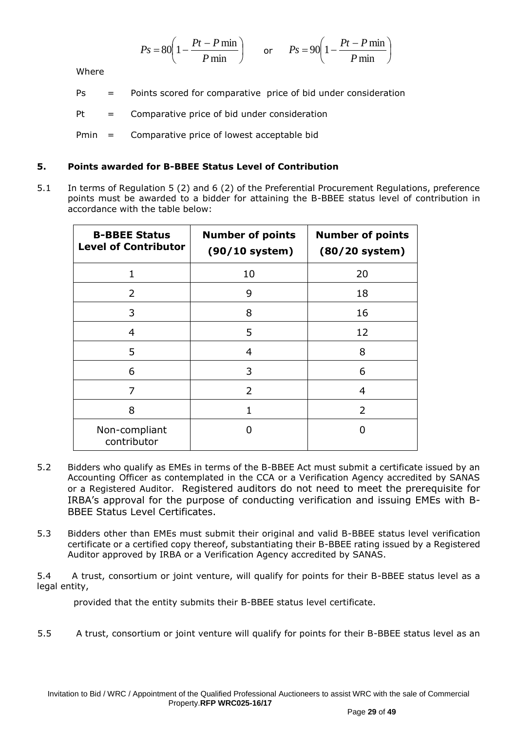$$
Ps = 80 \left( 1 - \frac{Pt - P \min}{P \min} \right) \qquad \text{or} \qquad Ps = 90 \left( 1 - \frac{Pt - P \min}{P \min} \right)
$$

Where

Ps = Points scored for comparative price of bid under consideration

 $Pt = Comparative price of bid under consideration$ 

Pmin = Comparative price of lowest acceptable bid

## **5. Points awarded for B-BBEE Status Level of Contribution**

5.1 In terms of Regulation 5 (2) and 6 (2) of the Preferential Procurement Regulations, preference points must be awarded to a bidder for attaining the B-BBEE status level of contribution in accordance with the table below:

| <b>B-BBEE Status</b><br><b>Level of Contributor</b> | <b>Number of points</b><br>$(90/10$ system) | <b>Number of points</b><br>$(80/20$ system) |
|-----------------------------------------------------|---------------------------------------------|---------------------------------------------|
| $\mathbf{1}$                                        | 10                                          | 20                                          |
| $\mathcal{P}$                                       | 9                                           | 18                                          |
| 3                                                   | 8                                           | 16                                          |
| 4                                                   | 5                                           | 12                                          |
| 5                                                   | 4                                           | 8                                           |
| 6                                                   | 3                                           | 6                                           |
| 7                                                   | $\mathcal{P}$                               | 4                                           |
| 8                                                   |                                             | $\overline{2}$                              |
| Non-compliant<br>contributor                        | 0                                           |                                             |

- 5.2 Bidders who qualify as EMEs in terms of the B-BBEE Act must submit a certificate issued by an Accounting Officer as contemplated in the CCA or a Verification Agency accredited by SANAS or a Registered Auditor. Registered auditors do not need to meet the prerequisite for IRBA's approval for the purpose of conducting verification and issuing EMEs with B-BBEE Status Level Certificates.
- 5.3 Bidders other than EMEs must submit their original and valid B-BBEE status level verification certificate or a certified copy thereof, substantiating their B-BBEE rating issued by a Registered Auditor approved by IRBA or a Verification Agency accredited by SANAS.

5.4 A trust, consortium or joint venture, will qualify for points for their B-BBEE status level as a legal entity,

provided that the entity submits their B-BBEE status level certificate.

5.5 A trust, consortium or joint venture will qualify for points for their B-BBEE status level as an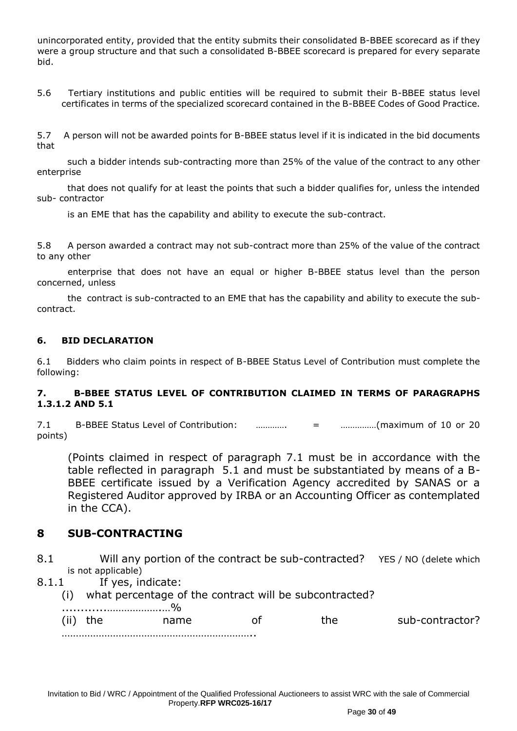unincorporated entity, provided that the entity submits their consolidated B-BBEE scorecard as if they were a group structure and that such a consolidated B-BBEE scorecard is prepared for every separate bid.

5.6 Tertiary institutions and public entities will be required to submit their B-BBEE status level certificates in terms of the specialized scorecard contained in the B-BBEE Codes of Good Practice.

5.7 A person will not be awarded points for B-BBEE status level if it is indicated in the bid documents that

 such a bidder intends sub-contracting more than 25% of the value of the contract to any other enterprise

 that does not qualify for at least the points that such a bidder qualifies for, unless the intended sub- contractor

is an EME that has the capability and ability to execute the sub-contract.

5.8 A person awarded a contract may not sub-contract more than 25% of the value of the contract to any other

 enterprise that does not have an equal or higher B-BBEE status level than the person concerned, unless

 the contract is sub-contracted to an EME that has the capability and ability to execute the subcontract.

## **6. BID DECLARATION**

6.1 Bidders who claim points in respect of B-BBEE Status Level of Contribution must complete the following:

## **7. B-BBEE STATUS LEVEL OF CONTRIBUTION CLAIMED IN TERMS OF PARAGRAPHS 1.3.1.2 AND 5.1**

7.1 B-BBEE Status Level of Contribution: …………. = ……………(maximum of 10 or 20 points)

(Points claimed in respect of paragraph 7.1 must be in accordance with the table reflected in paragraph 5.1 and must be substantiated by means of a B-BBEE certificate issued by a Verification Agency accredited by SANAS or a Registered Auditor approved by IRBA or an Accounting Officer as contemplated in the CCA).

# **8 SUB-CONTRACTING**

- 8.1 Will any portion of the contract be sub-contracted? YES / NO (delete which is not applicable)
- 8.1.1 If yes, indicate:
	- (i) what percentage of the contract will be subcontracted?

| (ii) | name | he. | sub-contractor? |
|------|------|-----|-----------------|
|      |      |     |                 |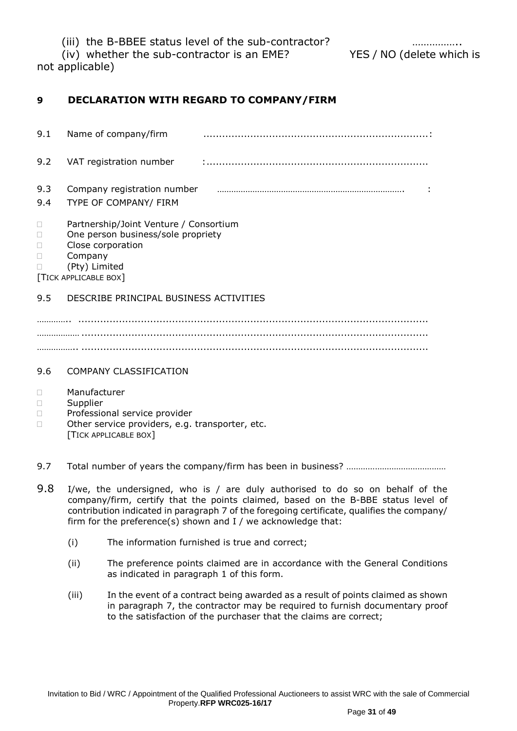(iii) the B-BBEE status level of the sub-contractor?

(iv) whether the sub-contractor is an EME? YES / NO (delete which is

not applicable)

# **9 DECLARATION WITH REGARD TO COMPANY/FIRM**

| 9.1        | Name of company/firm                                                                                                                                        |  |
|------------|-------------------------------------------------------------------------------------------------------------------------------------------------------------|--|
| 9.2        | VAT registration number                                                                                                                                     |  |
| 9.3<br>9.4 | Company registration number<br>TYPE OF COMPANY/ FIRM                                                                                                        |  |
|            | Partnership/Joint Venture / Consortium<br>One person business/sole propriety<br>Close corporation<br>Company<br>(Pty) Limited<br><b>TICK APPLICABLE BOX</b> |  |
| 9.5        | DESCRIBE PRINCIPAL BUSINESS ACTIVITIES                                                                                                                      |  |
|            |                                                                                                                                                             |  |

……………… ............................................................................................................... …………….. ...............................................................................................................

# 9.6 COMPANY CLASSIFICATION

- Manufacturer
- Supplier
- D Professional service provider
- □ Other service providers, e.g. transporter, etc. [TICK APPLICABLE BOX]
- 9.7 Total number of years the company/firm has been in business? ……………………………………
- 9.8 I/we, the undersigned, who is / are duly authorised to do so on behalf of the company/firm, certify that the points claimed, based on the B-BBE status level of contribution indicated in paragraph 7 of the foregoing certificate, qualifies the company/ firm for the preference(s) shown and I / we acknowledge that:
	- (i) The information furnished is true and correct;
	- (ii) The preference points claimed are in accordance with the General Conditions as indicated in paragraph 1 of this form.
	- (iii) In the event of a contract being awarded as a result of points claimed as shown in paragraph 7, the contractor may be required to furnish documentary proof to the satisfaction of the purchaser that the claims are correct;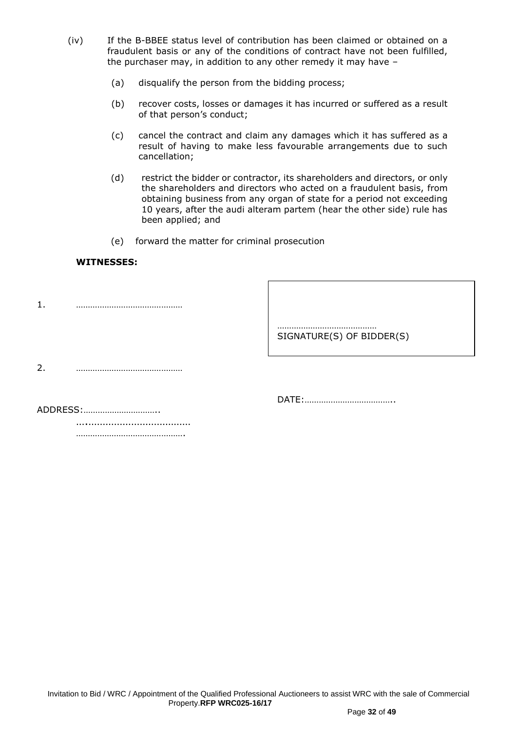- (iv) If the B-BBEE status level of contribution has been claimed or obtained on a fraudulent basis or any of the conditions of contract have not been fulfilled, the purchaser may, in addition to any other remedy it may have –
	- (a) disqualify the person from the bidding process;
	- (b) recover costs, losses or damages it has incurred or suffered as a result of that person's conduct;
	- (c) cancel the contract and claim any damages which it has suffered as a result of having to make less favourable arrangements due to such cancellation;
	- (d) restrict the bidder or contractor, its shareholders and directors, or only the shareholders and directors who acted on a fraudulent basis, from obtaining business from any organ of state for a period not exceeding 10 years, after the audi alteram partem (hear the other side) rule has been applied; and
	- (e) forward the matter for criminal prosecution

## **WITNESSES:**

1. ………………………………………

…………………………………… SIGNATURE(S) OF BIDDER(S)

2. ………………………………………

DATE:………………………………..

ADDRESS:…………………………..

….……………………………… …………………………………………

Invitation to Bid / WRC / Appointment of the Qualified Professional Auctioneers to assist WRC with the sale of Commercial Property.**RFP WRC025-16/17**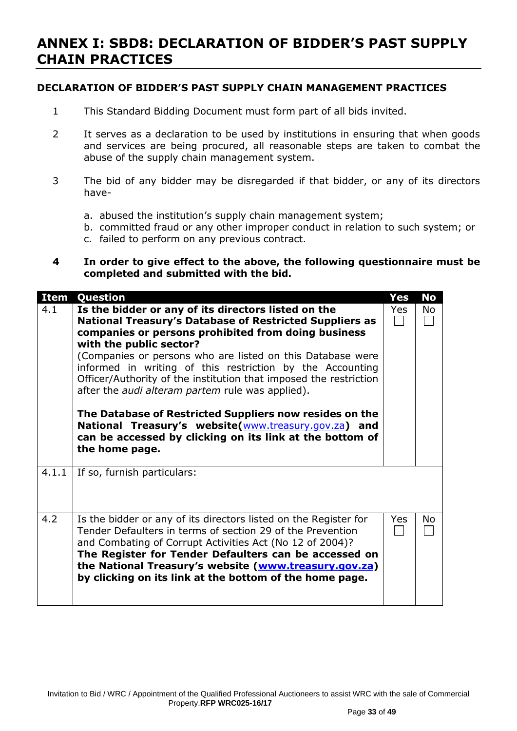# **ANNEX I: SBD8: DECLARATION OF BIDDER'S PAST SUPPLY CHAIN PRACTICES**

# **DECLARATION OF BIDDER'S PAST SUPPLY CHAIN MANAGEMENT PRACTICES**

- 1 This Standard Bidding Document must form part of all bids invited.
- 2 It serves as a declaration to be used by institutions in ensuring that when goods and services are being procured, all reasonable steps are taken to combat the abuse of the supply chain management system.
- 3 The bid of any bidder may be disregarded if that bidder, or any of its directors have
	- a. abused the institution's supply chain management system;
	- b. committed fraud or any other improper conduct in relation to such system; or
	- c. failed to perform on any previous contract.

## **4 In order to give effect to the above, the following questionnaire must be completed and submitted with the bid.**

| <b>Item</b> | Question                                                                                                                                                                                                                                                                                                                                                                                                                                                                                                                                                                                                                                                     | <b>Yes</b> | <b>No</b> |
|-------------|--------------------------------------------------------------------------------------------------------------------------------------------------------------------------------------------------------------------------------------------------------------------------------------------------------------------------------------------------------------------------------------------------------------------------------------------------------------------------------------------------------------------------------------------------------------------------------------------------------------------------------------------------------------|------------|-----------|
| 4.1         | Is the bidder or any of its directors listed on the<br>National Treasury's Database of Restricted Suppliers as<br>companies or persons prohibited from doing business<br>with the public sector?<br>(Companies or persons who are listed on this Database were<br>informed in writing of this restriction by the Accounting<br>Officer/Authority of the institution that imposed the restriction<br>after the <i>audi alteram partem</i> rule was applied).<br>The Database of Restricted Suppliers now resides on the<br>National Treasury's website(www.treasury.gov.za) and<br>can be accessed by clicking on its link at the bottom of<br>the home page. | Yes        | No        |
| 4.1.1       | If so, furnish particulars:                                                                                                                                                                                                                                                                                                                                                                                                                                                                                                                                                                                                                                  |            |           |
| 4.2         | Is the bidder or any of its directors listed on the Register for<br>Tender Defaulters in terms of section 29 of the Prevention<br>and Combating of Corrupt Activities Act (No 12 of 2004)?<br>The Register for Tender Defaulters can be accessed on<br>the National Treasury's website (www.treasury.gov.za)<br>by clicking on its link at the bottom of the home page.                                                                                                                                                                                                                                                                                      | <b>Yes</b> | No        |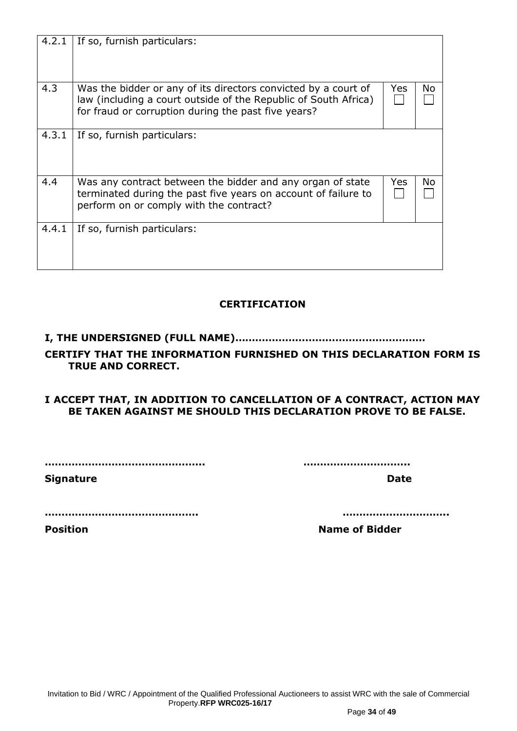| 4.2.1 | If so, furnish particulars:                                                                                                                                                              |            |    |
|-------|------------------------------------------------------------------------------------------------------------------------------------------------------------------------------------------|------------|----|
|       |                                                                                                                                                                                          |            |    |
| 4.3   | Was the bidder or any of its directors convicted by a court of<br>law (including a court outside of the Republic of South Africa)<br>for fraud or corruption during the past five years? | Yes        | No |
| 4.3.1 | If so, furnish particulars:                                                                                                                                                              |            |    |
| 4.4   | Was any contract between the bidder and any organ of state<br>terminated during the past five years on account of failure to<br>perform on or comply with the contract?                  | <b>Yes</b> | No |
| 4.4.1 | If so, furnish particulars:                                                                                                                                                              |            |    |
|       | <b>CERTIFICATION</b>                                                                                                                                                                     |            |    |

# **I, THE UNDERSIGNED (FULL NAME)…………………………………………………**

# **CERTIFY THAT THE INFORMATION FURNISHED ON THIS DECLARATION FORM IS TRUE AND CORRECT.**

## **I ACCEPT THAT, IN ADDITION TO CANCELLATION OF A CONTRACT, ACTION MAY BE TAKEN AGAINST ME SHOULD THIS DECLARATION PROVE TO BE FALSE.**

**………………………………………... …………………………..**

**Signature Date** 

**………………………………………. …………………………..**

**Position Name of Bidder**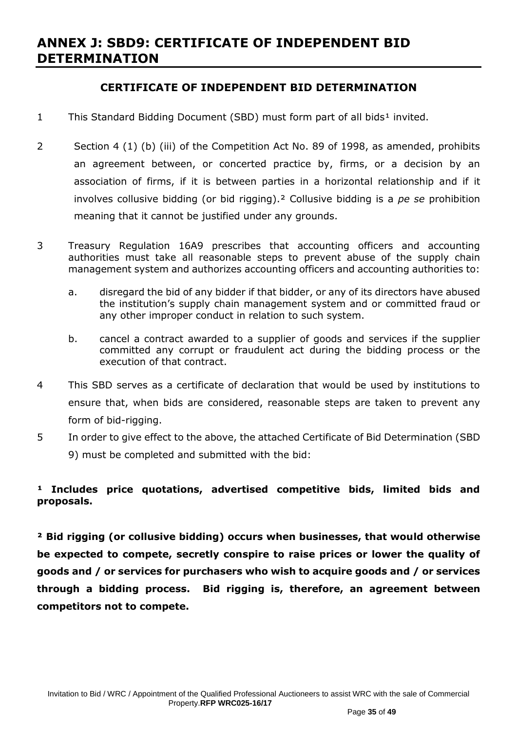# **ANNEX J: SBD9: CERTIFICATE OF INDEPENDENT BID DETERMINATION**

# **CERTIFICATE OF INDEPENDENT BID DETERMINATION**

- 1 This Standard Bidding Document (SBD) must form part of all bids<sup>1</sup> invited.
- 2 Section 4 (1) (b) (iii) of the Competition Act No. 89 of 1998, as amended, prohibits an agreement between, or concerted practice by, firms, or a decision by an association of firms, if it is between parties in a horizontal relationship and if it involves collusive bidding (or bid rigging).² Collusive bidding is a *pe se* prohibition meaning that it cannot be justified under any grounds.
- 3 Treasury Regulation 16A9 prescribes that accounting officers and accounting authorities must take all reasonable steps to prevent abuse of the supply chain management system and authorizes accounting officers and accounting authorities to:
	- a. disregard the bid of any bidder if that bidder, or any of its directors have abused the institution's supply chain management system and or committed fraud or any other improper conduct in relation to such system.
	- b. cancel a contract awarded to a supplier of goods and services if the supplier committed any corrupt or fraudulent act during the bidding process or the execution of that contract.
- 4 This SBD serves as a certificate of declaration that would be used by institutions to ensure that, when bids are considered, reasonable steps are taken to prevent any form of bid-rigging.
- 5 In order to give effect to the above, the attached Certificate of Bid Determination (SBD 9) must be completed and submitted with the bid:

# <sup>1</sup> Includes price quotations, advertised competitive bids, limited bids and **proposals.**

**² Bid rigging (or collusive bidding) occurs when businesses, that would otherwise be expected to compete, secretly conspire to raise prices or lower the quality of goods and / or services for purchasers who wish to acquire goods and / or services through a bidding process. Bid rigging is, therefore, an agreement between competitors not to compete.**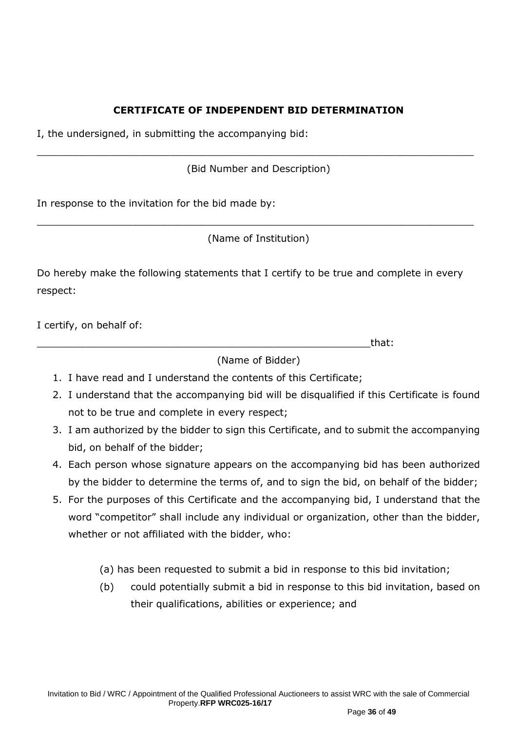# **CERTIFICATE OF INDEPENDENT BID DETERMINATION**

I, the undersigned, in submitting the accompanying bid:

(Bid Number and Description)

\_\_\_\_\_\_\_\_\_\_\_\_\_\_\_\_\_\_\_\_\_\_\_\_\_\_\_\_\_\_\_\_\_\_\_\_\_\_\_\_\_\_\_\_\_\_\_\_\_\_\_\_\_\_\_\_\_\_\_\_\_\_\_\_\_\_\_\_\_\_\_\_

In response to the invitation for the bid made by:

(Name of Institution)

\_\_\_\_\_\_\_\_\_\_\_\_\_\_\_\_\_\_\_\_\_\_\_\_\_\_\_\_\_\_\_\_\_\_\_\_\_\_\_\_\_\_\_\_\_\_\_\_\_\_\_\_\_\_\_\_\_\_\_\_\_\_\_\_\_\_\_\_\_\_\_\_

Do hereby make the following statements that I certify to be true and complete in every respect:

I certify, on behalf of:

\_\_\_\_\_\_\_\_\_\_\_\_\_\_\_\_\_\_\_\_\_\_\_\_\_\_\_\_\_\_\_\_\_\_\_\_\_\_\_\_\_\_\_\_\_\_\_\_\_\_\_\_\_\_\_that:

(Name of Bidder)

- 1. I have read and I understand the contents of this Certificate;
- 2. I understand that the accompanying bid will be disqualified if this Certificate is found not to be true and complete in every respect;
- 3. I am authorized by the bidder to sign this Certificate, and to submit the accompanying bid, on behalf of the bidder;
- 4. Each person whose signature appears on the accompanying bid has been authorized by the bidder to determine the terms of, and to sign the bid, on behalf of the bidder;
- 5. For the purposes of this Certificate and the accompanying bid, I understand that the word "competitor" shall include any individual or organization, other than the bidder, whether or not affiliated with the bidder, who:
	- (a) has been requested to submit a bid in response to this bid invitation;
	- (b) could potentially submit a bid in response to this bid invitation, based on their qualifications, abilities or experience; and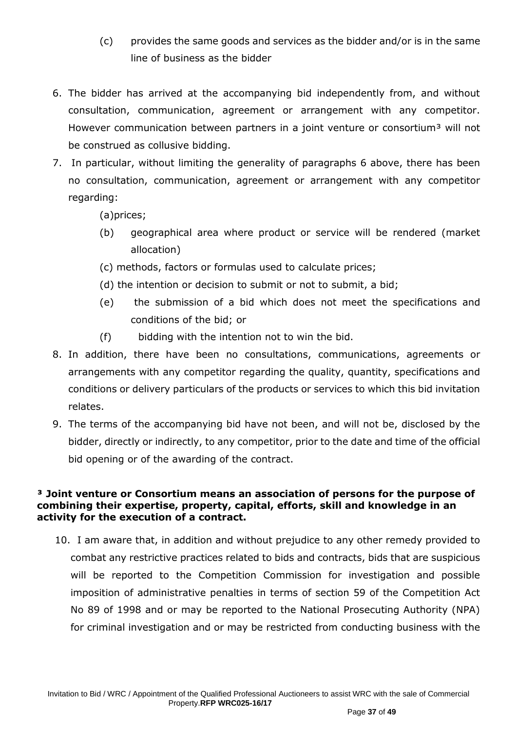- (c) provides the same goods and services as the bidder and/or is in the same line of business as the bidder
- 6. The bidder has arrived at the accompanying bid independently from, and without consultation, communication, agreement or arrangement with any competitor. However communication between partners in a joint venture or consortium<sup>3</sup> will not be construed as collusive bidding.
- 7. In particular, without limiting the generality of paragraphs 6 above, there has been no consultation, communication, agreement or arrangement with any competitor regarding:

(a)prices;

- (b) geographical area where product or service will be rendered (market allocation)
- (c) methods, factors or formulas used to calculate prices;
- (d) the intention or decision to submit or not to submit, a bid;
- (e) the submission of a bid which does not meet the specifications and conditions of the bid; or
- (f) bidding with the intention not to win the bid.
- 8. In addition, there have been no consultations, communications, agreements or arrangements with any competitor regarding the quality, quantity, specifications and conditions or delivery particulars of the products or services to which this bid invitation relates.
- 9. The terms of the accompanying bid have not been, and will not be, disclosed by the bidder, directly or indirectly, to any competitor, prior to the date and time of the official bid opening or of the awarding of the contract.

# **³ Joint venture or Consortium means an association of persons for the purpose of combining their expertise, property, capital, efforts, skill and knowledge in an activity for the execution of a contract.**

10. I am aware that, in addition and without prejudice to any other remedy provided to combat any restrictive practices related to bids and contracts, bids that are suspicious will be reported to the Competition Commission for investigation and possible imposition of administrative penalties in terms of section 59 of the Competition Act No 89 of 1998 and or may be reported to the National Prosecuting Authority (NPA) for criminal investigation and or may be restricted from conducting business with the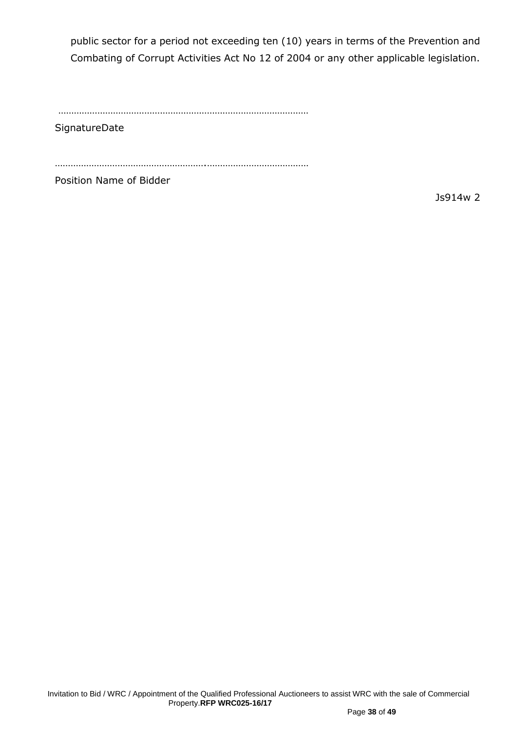public sector for a period not exceeding ten (10) years in terms of the Prevention and Combating of Corrupt Activities Act No 12 of 2004 or any other applicable legislation.

……………………………………………………………………………………

**SignatureDate** 

………………………………………………….…………………………………

Position Name of Bidder

Js914w 2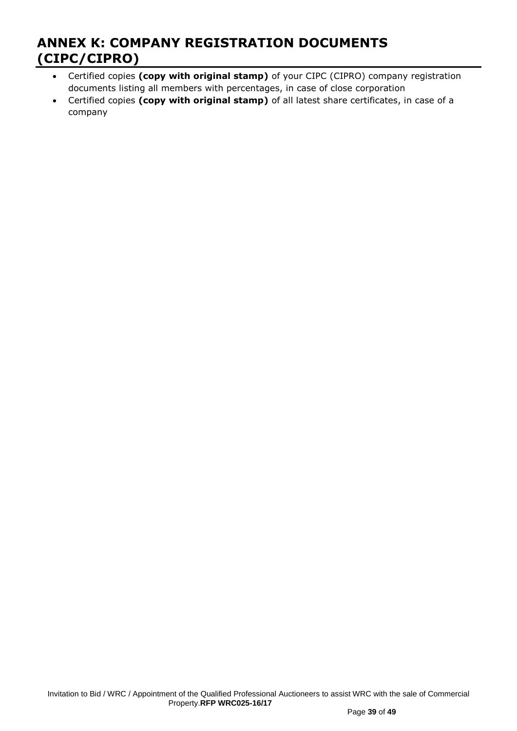# **ANNEX K: COMPANY REGISTRATION DOCUMENTS (CIPC/CIPRO)**

- Certified copies **(copy with original stamp)** of your CIPC (CIPRO) company registration documents listing all members with percentages, in case of close corporation
- Certified copies **(copy with original stamp)** of all latest share certificates, in case of a company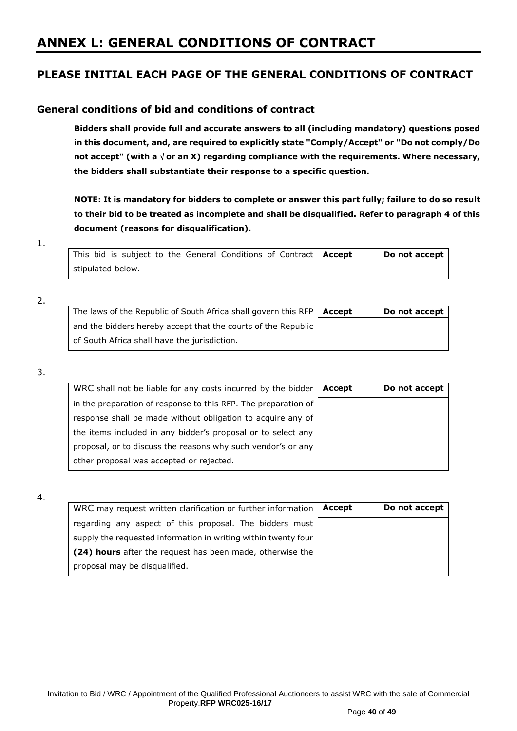# **ANNEX L: GENERAL CONDITIONS OF CONTRACT**

# **PLEASE INITIAL EACH PAGE OF THE GENERAL CONDITIONS OF CONTRACT**

# **General conditions of bid and conditions of contract**

**Bidders shall provide full and accurate answers to all (including mandatory) questions posed in this document, and, are required to explicitly state "Comply/Accept" or "Do not comply/Do not accept" (with a or an X) regarding compliance with the requirements. Where necessary, the bidders shall substantiate their response to a specific question.**

**NOTE: It is mandatory for bidders to complete or answer this part fully; failure to do so result to their bid to be treated as incomplete and shall be disqualified. Refer to paragraph 4 of this document (reasons for disqualification).**

#### 1.

| This bid is subject to the General Conditions of Contract   Accept |  |  |  | Do not accept |
|--------------------------------------------------------------------|--|--|--|---------------|
| stipulated below.                                                  |  |  |  |               |

#### 2.

| The laws of the Republic of South Africa shall govern this RFP $\vert$ Accept | Do not accept |
|-------------------------------------------------------------------------------|---------------|
| and the bidders hereby accept that the courts of the Republic                 |               |
| of South Africa shall have the jurisdiction.                                  |               |

## 3.

| WRC shall not be liable for any costs incurred by the bidder   | Accept | Do not accept |
|----------------------------------------------------------------|--------|---------------|
| in the preparation of response to this RFP. The preparation of |        |               |
| response shall be made without obligation to acquire any of    |        |               |
| the items included in any bidder's proposal or to select any   |        |               |
| proposal, or to discuss the reasons why such vendor's or any   |        |               |
| other proposal was accepted or rejected.                       |        |               |

#### 4.

| WRC may request written clarification or further information   | Accept | Do not accept |
|----------------------------------------------------------------|--------|---------------|
| regarding any aspect of this proposal. The bidders must        |        |               |
| supply the requested information in writing within twenty four |        |               |
| (24) hours after the request has been made, otherwise the      |        |               |
| proposal may be disqualified.                                  |        |               |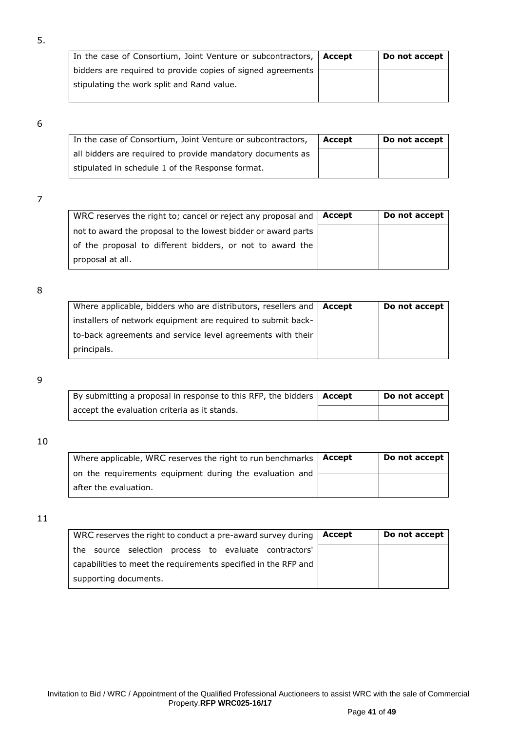| In the case of Consortium, Joint Venture or subcontractors, $\vert$ Accept | Do not accept |
|----------------------------------------------------------------------------|---------------|
| bidders are required to provide copies of signed agreements                |               |
| stipulating the work split and Rand value.                                 |               |

5.

| In the case of Consortium, Joint Venture or subcontractors, | Accept | Do not accept |
|-------------------------------------------------------------|--------|---------------|
| all bidders are required to provide mandatory documents as  |        |               |
| stipulated in schedule 1 of the Response format.            |        |               |

## 7

| WRC reserves the right to; cancel or reject any proposal and  | Accept | Do not accept |
|---------------------------------------------------------------|--------|---------------|
| not to award the proposal to the lowest bidder or award parts |        |               |
| of the proposal to different bidders, or not to award the     |        |               |
| proposal at all.                                              |        |               |

## 8

| Where applicable, bidders who are distributors, resellers and $\vert$ Accept | Do not accept |
|------------------------------------------------------------------------------|---------------|
| installers of network equipment are required to submit back-                 |               |
| to-back agreements and service level agreements with their                   |               |
| principals.                                                                  |               |

## 9

| By submitting a proposal in response to this RFP, the bidders $\vert$ Accept | Do not accept |
|------------------------------------------------------------------------------|---------------|
| accept the evaluation criteria as it stands.                                 |               |

#### 10

| Where applicable, WRC reserves the right to run benchmarks   Accept | Do not accept |
|---------------------------------------------------------------------|---------------|
| on the requirements equipment during the evaluation and             |               |
| after the evaluation.                                               |               |

| WRC reserves the right to conduct a pre-award survey during    | Accept | Do not accept |
|----------------------------------------------------------------|--------|---------------|
| the source selection process to evaluate contractors'          |        |               |
| capabilities to meet the requirements specified in the RFP and |        |               |
| supporting documents.                                          |        |               |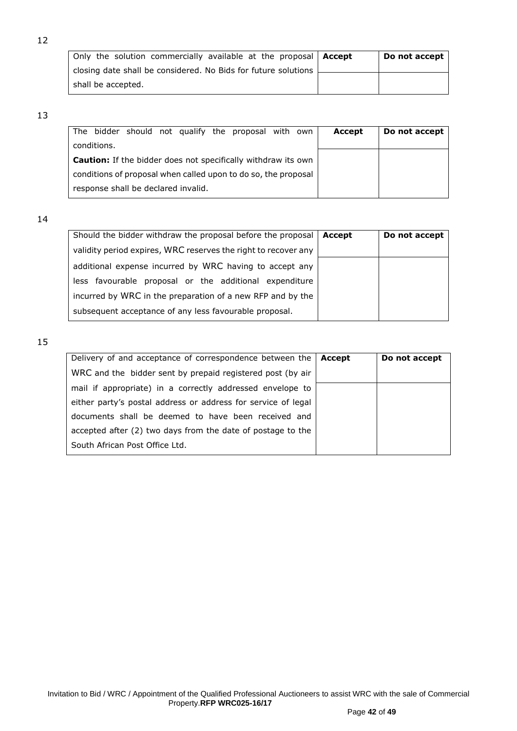| Only the solution commercially available at the proposal   Accept | Do not accept |
|-------------------------------------------------------------------|---------------|
| closing date shall be considered. No Bids for future solutions    |               |
| shall be accepted.                                                |               |

|                                                                      |             |                                     |  |  |  | The bidder should not qualify the proposal with own            |  | Accept | Do not accept |
|----------------------------------------------------------------------|-------------|-------------------------------------|--|--|--|----------------------------------------------------------------|--|--------|---------------|
|                                                                      | conditions. |                                     |  |  |  |                                                                |  |        |               |
| <b>Caution:</b> If the bidder does not specifically withdraw its own |             |                                     |  |  |  |                                                                |  |        |               |
|                                                                      |             |                                     |  |  |  | conditions of proposal when called upon to do so, the proposal |  |        |               |
|                                                                      |             | response shall be declared invalid. |  |  |  |                                                                |  |        |               |

14

| Should the bidder withdraw the proposal before the proposal    | Accept | Do not accept |
|----------------------------------------------------------------|--------|---------------|
| validity period expires, WRC reserves the right to recover any |        |               |
| additional expense incurred by WRC having to accept any        |        |               |
| less favourable proposal or the additional expenditure         |        |               |
| incurred by WRC in the preparation of a new RFP and by the     |        |               |
| subsequent acceptance of any less favourable proposal.         |        |               |

| Delivery of and acceptance of correspondence between the      | Accept | Do not accept |
|---------------------------------------------------------------|--------|---------------|
| WRC and the bidder sent by prepaid registered post (by air    |        |               |
| mail if appropriate) in a correctly addressed envelope to     |        |               |
| either party's postal address or address for service of legal |        |               |
| documents shall be deemed to have been received and           |        |               |
| accepted after (2) two days from the date of postage to the   |        |               |
| South African Post Office Ltd.                                |        |               |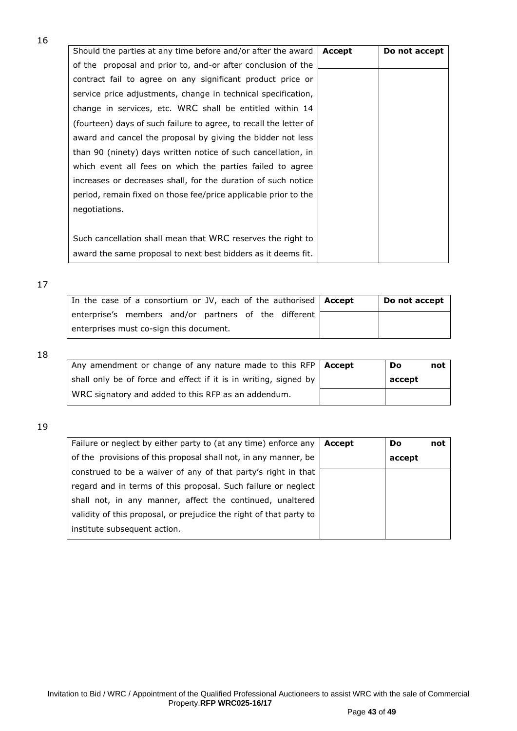| Should the parties at any time before and/or after the award      | Accept | Do not accept |
|-------------------------------------------------------------------|--------|---------------|
| of the proposal and prior to, and-or after conclusion of the      |        |               |
| contract fail to agree on any significant product price or        |        |               |
| service price adjustments, change in technical specification,     |        |               |
| change in services, etc. WRC shall be entitled within 14          |        |               |
| (fourteen) days of such failure to agree, to recall the letter of |        |               |
| award and cancel the proposal by giving the bidder not less       |        |               |
| than 90 (ninety) days written notice of such cancellation, in     |        |               |
| which event all fees on which the parties failed to agree         |        |               |
| increases or decreases shall, for the duration of such notice     |        |               |
| period, remain fixed on those fee/price applicable prior to the   |        |               |
| negotiations.                                                     |        |               |
|                                                                   |        |               |
| Such cancellation shall mean that WRC reserves the right to       |        |               |
| award the same proposal to next best bidders as it deems fit.     |        |               |

## 17

|                                                       | In the case of a consortium or JV, each of the authorised   Accept | Do not accept |
|-------------------------------------------------------|--------------------------------------------------------------------|---------------|
| enterprise's members and/or partners of the different |                                                                    |               |
| enterprises must co-sign this document.               |                                                                    |               |

18

| Any amendment or change of any nature made to this RFP   Accept  | Do     | not |
|------------------------------------------------------------------|--------|-----|
| shall only be of force and effect if it is in writing, signed by | accept |     |
| WRC signatory and added to this RFP as an addendum.              |        |     |

| Failure or neglect by either party to (at any time) enforce any    | Accept | <b>Do</b> | not |
|--------------------------------------------------------------------|--------|-----------|-----|
| of the provisions of this proposal shall not, in any manner, be    |        | accept    |     |
| construed to be a waiver of any of that party's right in that      |        |           |     |
| regard and in terms of this proposal. Such failure or neglect      |        |           |     |
| shall not, in any manner, affect the continued, unaltered          |        |           |     |
| validity of this proposal, or prejudice the right of that party to |        |           |     |
| institute subsequent action.                                       |        |           |     |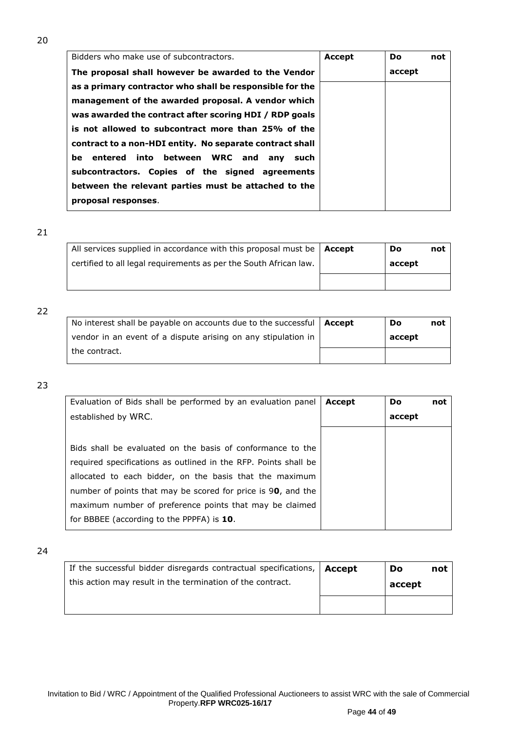| Bidders who make use of subcontractors.                  | <b>Accept</b> | Do.    | not |
|----------------------------------------------------------|---------------|--------|-----|
| The proposal shall however be awarded to the Vendor      |               | accept |     |
| as a primary contractor who shall be responsible for the |               |        |     |
| management of the awarded proposal. A vendor which       |               |        |     |
| was awarded the contract after scoring HDI / RDP goals   |               |        |     |
| is not allowed to subcontract more than 25% of the       |               |        |     |
| contract to a non-HDI entity. No separate contract shall |               |        |     |
| be entered into between WRC and any such                 |               |        |     |
| subcontractors. Copies of the signed agreements          |               |        |     |
| between the relevant parties must be attached to the     |               |        |     |
| proposal responses.                                      |               |        |     |

| All services supplied in accordance with this proposal must be $ $ Accept | Do     | not |
|---------------------------------------------------------------------------|--------|-----|
| certified to all legal requirements as per the South African law.         | accept |     |
|                                                                           |        |     |

## 22

| No interest shall be payable on accounts due to the successful $\vert$ <b>Accept</b> | Do     | not |
|--------------------------------------------------------------------------------------|--------|-----|
| vendor in an event of a dispute arising on any stipulation in                        | accept |     |
| the contract.                                                                        |        |     |

## 23

| Evaluation of Bids shall be performed by an evaluation panel    | Accept | <b>Do</b> | not |
|-----------------------------------------------------------------|--------|-----------|-----|
| established by WRC.                                             |        | accept    |     |
|                                                                 |        |           |     |
| Bids shall be evaluated on the basis of conformance to the      |        |           |     |
| required specifications as outlined in the RFP. Points shall be |        |           |     |
| allocated to each bidder, on the basis that the maximum         |        |           |     |
| number of points that may be scored for price is 90, and the    |        |           |     |
| maximum number of preference points that may be claimed         |        |           |     |
| for BBBEE (according to the PPPFA) is 10.                       |        |           |     |

| If the successful bidder disregards contractual specifications,   Accept | Do     | not |
|--------------------------------------------------------------------------|--------|-----|
| this action may result in the termination of the contract.               | accept |     |
|                                                                          |        |     |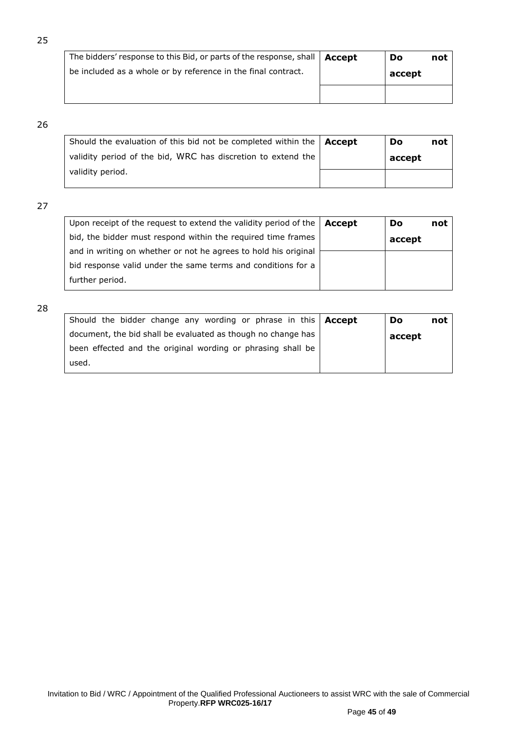| The bidders' response to this Bid, or parts of the response, shall   Accept | Do     | not |
|-----------------------------------------------------------------------------|--------|-----|
| be included as a whole or by reference in the final contract.               | accept |     |
|                                                                             |        |     |

| Should the evaluation of this bid not be completed within the $\Delta$ Accept | Do     | not |
|-------------------------------------------------------------------------------|--------|-----|
| validity period of the bid, WRC has discretion to extend the                  | accept |     |
| validity period.                                                              |        |     |

# 27

| Upon receipt of the request to extend the validity period of the | Accept | Do     | not |
|------------------------------------------------------------------|--------|--------|-----|
| bid, the bidder must respond within the required time frames     |        | accept |     |
| and in writing on whether or not he agrees to hold his original  |        |        |     |
| bid response valid under the same terms and conditions for a     |        |        |     |
| further period.                                                  |        |        |     |
|                                                                  |        |        |     |

| Should the bidder change any wording or phrase in this   Accept | Do     | not |
|-----------------------------------------------------------------|--------|-----|
| document, the bid shall be evaluated as though no change has    | accept |     |
| been effected and the original wording or phrasing shall be     |        |     |
| used.                                                           |        |     |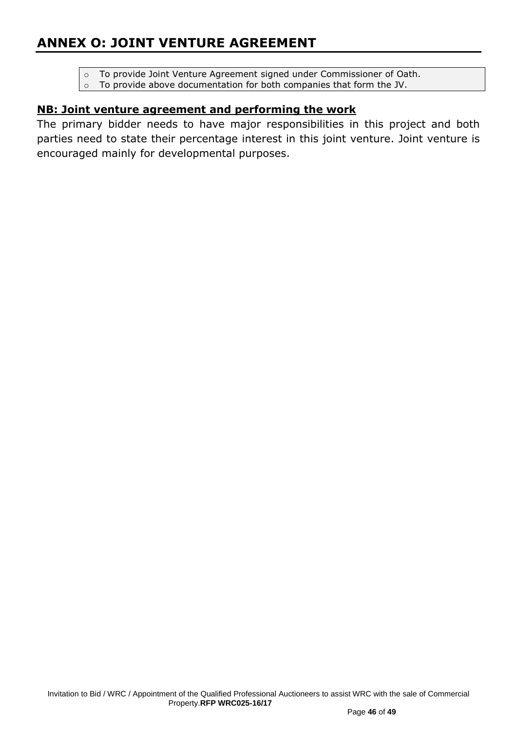- o To provide Joint Venture Agreement signed under Commissioner of Oath.
- o To provide above documentation for both companies that form the JV.

# **NB: Joint venture agreement and performing the work**

The primary bidder needs to have major responsibilities in this project and both parties need to state their percentage interest in this joint venture. Joint venture is encouraged mainly for developmental purposes.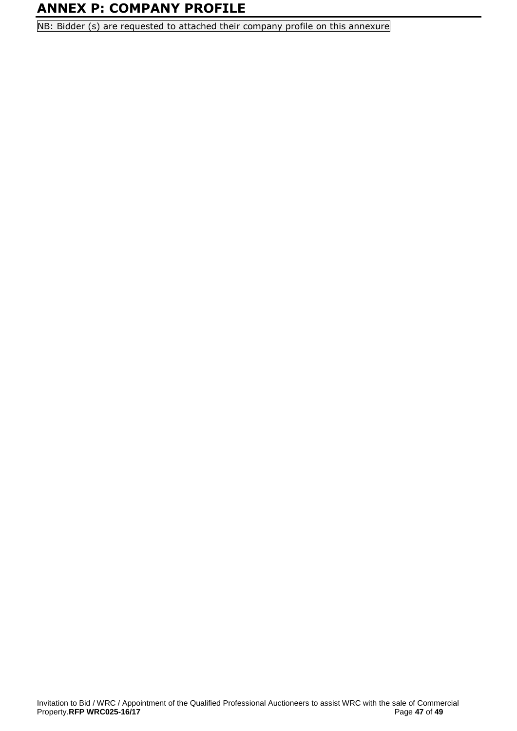# **ANNEX P: COMPANY PROFILE**

NB: Bidder (s) are requested to attached their company profile on this annexure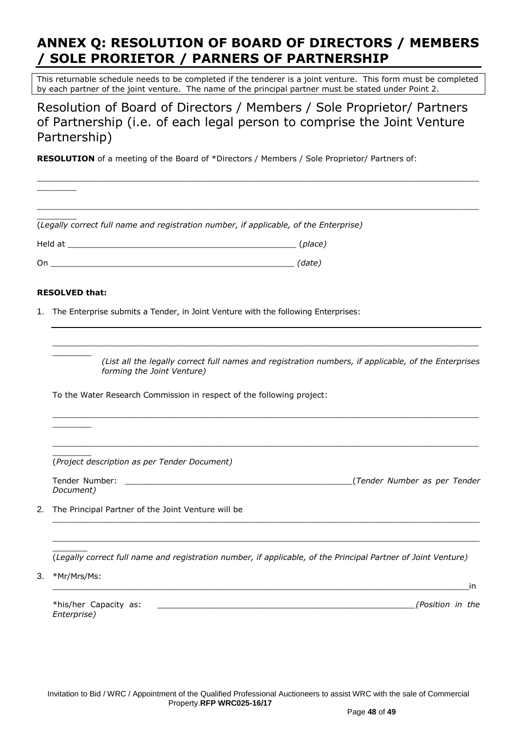# **ANNEX Q: RESOLUTION OF BOARD OF DIRECTORS / MEMBERS / SOLE PRORIETOR / PARNERS OF PARTNERSHIP**

This returnable schedule needs to be completed if the tenderer is a joint venture. This form must be completed by each partner of the joint venture. The name of the principal partner must be stated under Point 2.

Resolution of Board of Directors / Members / Sole Proprietor/ Partners of Partnership (i.e. of each legal person to comprise the Joint Venture Partnership)

**RESOLUTION** of a meeting of the Board of \*Directors / Members / Sole Proprietor/ Partners of:

|    | (Legally correct full name and registration number, if applicable, of the Enterprise)                                              |  |  |  |  |
|----|------------------------------------------------------------------------------------------------------------------------------------|--|--|--|--|
|    |                                                                                                                                    |  |  |  |  |
|    |                                                                                                                                    |  |  |  |  |
|    | <b>RESOLVED that:</b>                                                                                                              |  |  |  |  |
| 1. | The Enterprise submits a Tender, in Joint Venture with the following Enterprises:                                                  |  |  |  |  |
|    |                                                                                                                                    |  |  |  |  |
|    | (List all the legally correct full names and registration numbers, if applicable, of the Enterprises<br>forming the Joint Venture) |  |  |  |  |
|    | To the Water Research Commission in respect of the following project:                                                              |  |  |  |  |
|    |                                                                                                                                    |  |  |  |  |
|    | (Project description as per Tender Document)                                                                                       |  |  |  |  |
|    | Tender Number:<br>Document)                                                                                                        |  |  |  |  |
| 2. | The Principal Partner of the Joint Venture will be                                                                                 |  |  |  |  |
|    | (Legally correct full name and registration number, if applicable, of the Principal Partner of Joint Venture)                      |  |  |  |  |
| 3. | *Mr/Mrs/Ms:<br>in                                                                                                                  |  |  |  |  |
|    | *his/her Capacity as:<br>(Position in the<br>Enterprise)                                                                           |  |  |  |  |